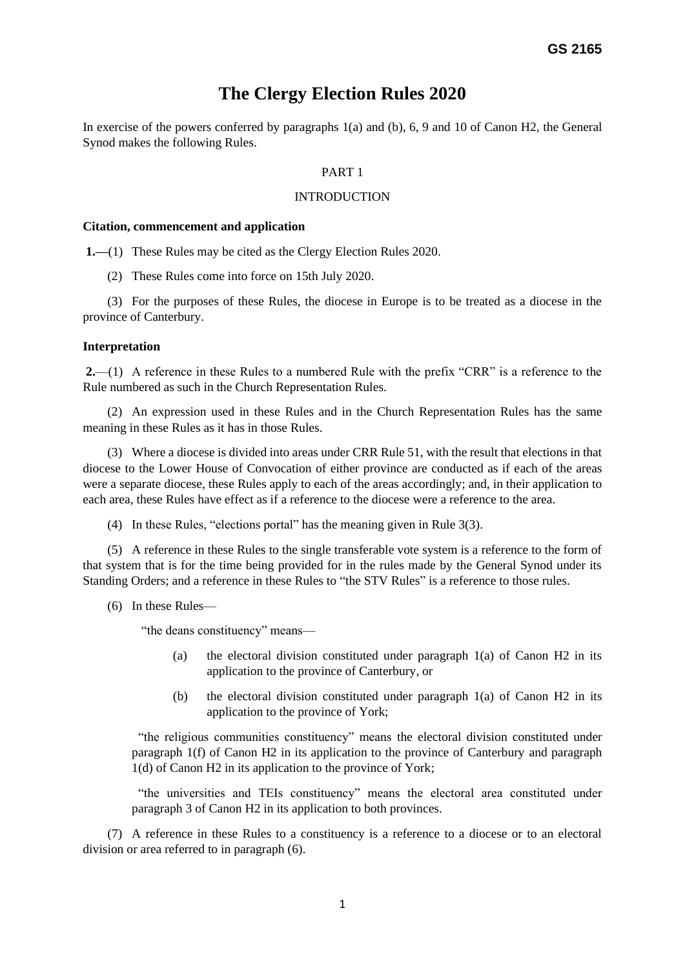# **The Clergy Election Rules 2020**

In exercise of the powers conferred by paragraphs 1(a) and (b), 6, 9 and 10 of Canon H2, the General Synod makes the following Rules.

# PART 1

### INTRODUCTION

#### **Citation, commencement and application**

**1.—**(1) These Rules may be cited as the Clergy Election Rules 2020.

(2) These Rules come into force on 15th July 2020.

(3) For the purposes of these Rules, the diocese in Europe is to be treated as a diocese in the province of Canterbury.

#### **Interpretation**

**2.**—(1) A reference in these Rules to a numbered Rule with the prefix "CRR" is a reference to the Rule numbered as such in the Church Representation Rules.

(2) An expression used in these Rules and in the Church Representation Rules has the same meaning in these Rules as it has in those Rules.

(3) Where a diocese is divided into areas under CRR Rule 51, with the result that elections in that diocese to the Lower House of Convocation of either province are conducted as if each of the areas were a separate diocese, these Rules apply to each of the areas accordingly; and, in their application to each area, these Rules have effect as if a reference to the diocese were a reference to the area.

(4) In these Rules, "elections portal" has the meaning given in Rule 3(3).

(5) A reference in these Rules to the single transferable vote system is a reference to the form of that system that is for the time being provided for in the rules made by the General Synod under its Standing Orders; and a reference in these Rules to "the STV Rules" is a reference to those rules.

(6) In these Rules—

"the deans constituency" means—

- (a) the electoral division constituted under paragraph 1(a) of Canon H2 in its application to the province of Canterbury, or
- (b) the electoral division constituted under paragraph 1(a) of Canon H2 in its application to the province of York;

 "the religious communities constituency" means the electoral division constituted under paragraph 1(f) of Canon H2 in its application to the province of Canterbury and paragraph 1(d) of Canon H2 in its application to the province of York;

 "the universities and TEIs constituency" means the electoral area constituted under paragraph 3 of Canon H2 in its application to both provinces.

(7) A reference in these Rules to a constituency is a reference to a diocese or to an electoral division or area referred to in paragraph (6).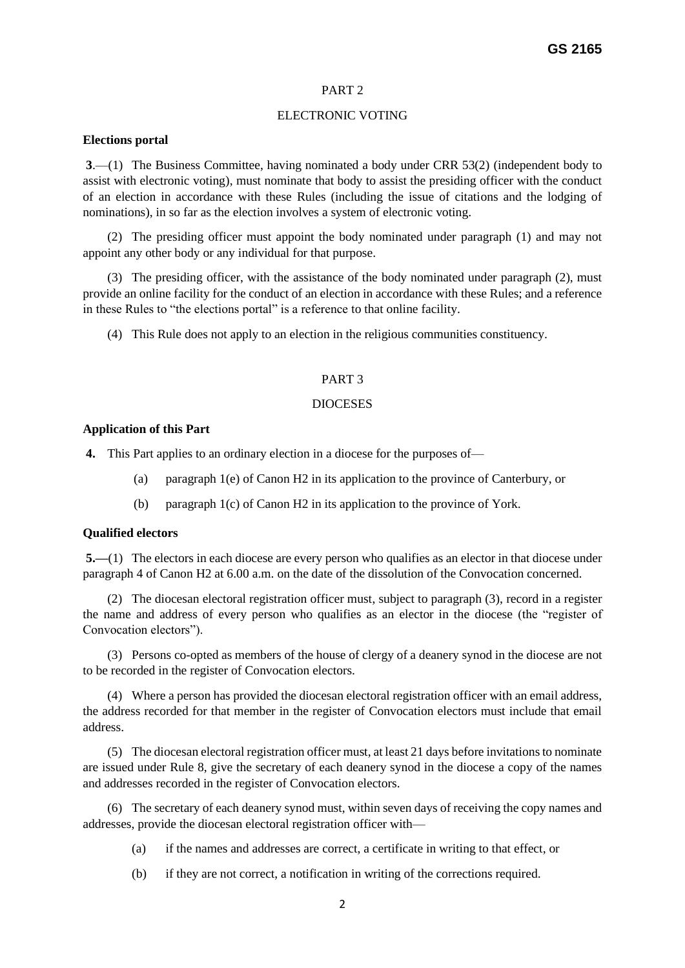# PART 2

# ELECTRONIC VOTING

#### **Elections portal**

**3**.—(1) The Business Committee, having nominated a body under CRR 53(2) (independent body to assist with electronic voting), must nominate that body to assist the presiding officer with the conduct of an election in accordance with these Rules (including the issue of citations and the lodging of nominations), in so far as the election involves a system of electronic voting.

(2) The presiding officer must appoint the body nominated under paragraph (1) and may not appoint any other body or any individual for that purpose.

(3) The presiding officer, with the assistance of the body nominated under paragraph (2), must provide an online facility for the conduct of an election in accordance with these Rules; and a reference in these Rules to "the elections portal" is a reference to that online facility.

(4) This Rule does not apply to an election in the religious communities constituency.

# PART 3

#### DIOCESES

#### **Application of this Part**

**4.** This Part applies to an ordinary election in a diocese for the purposes of—

- (a) paragraph 1(e) of Canon H2 in its application to the province of Canterbury, or
- (b) paragraph 1(c) of Canon H2 in its application to the province of York.

#### **Qualified electors**

**5.—**(1) The electors in each diocese are every person who qualifies as an elector in that diocese under paragraph 4 of Canon H2 at 6.00 a.m. on the date of the dissolution of the Convocation concerned.

(2) The diocesan electoral registration officer must, subject to paragraph (3), record in a register the name and address of every person who qualifies as an elector in the diocese (the "register of Convocation electors").

(3) Persons co-opted as members of the house of clergy of a deanery synod in the diocese are not to be recorded in the register of Convocation electors.

(4) Where a person has provided the diocesan electoral registration officer with an email address, the address recorded for that member in the register of Convocation electors must include that email address.

(5) The diocesan electoral registration officer must, at least 21 days before invitations to nominate are issued under Rule 8, give the secretary of each deanery synod in the diocese a copy of the names and addresses recorded in the register of Convocation electors.

(6) The secretary of each deanery synod must, within seven days of receiving the copy names and addresses, provide the diocesan electoral registration officer with—

- (a) if the names and addresses are correct, a certificate in writing to that effect, or
- (b) if they are not correct, a notification in writing of the corrections required.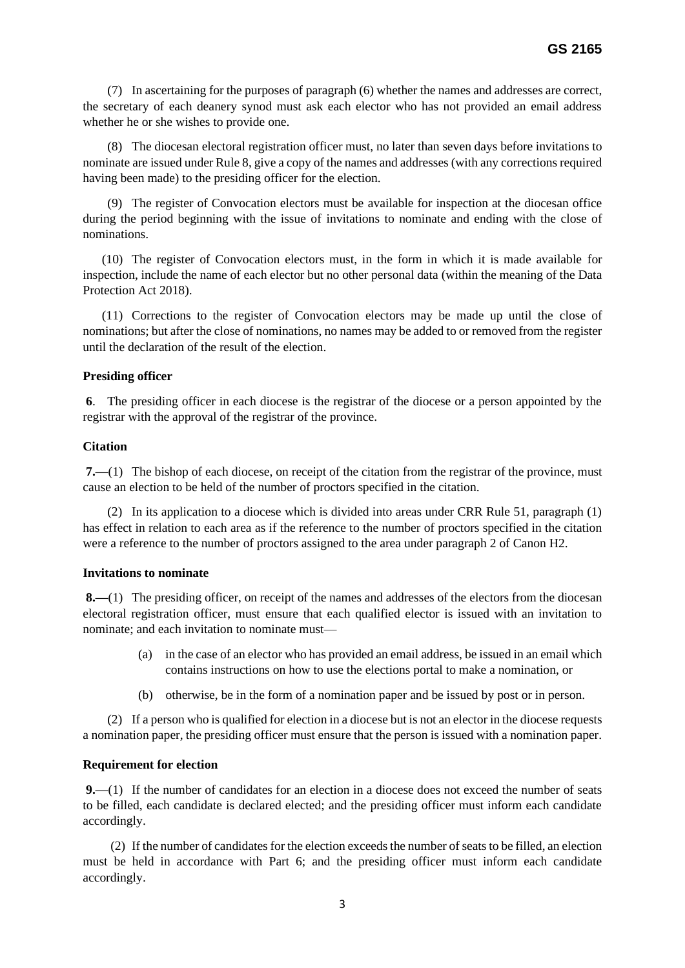(7) In ascertaining for the purposes of paragraph (6) whether the names and addresses are correct, the secretary of each deanery synod must ask each elector who has not provided an email address whether he or she wishes to provide one.

(8) The diocesan electoral registration officer must, no later than seven days before invitations to nominate are issued under Rule 8, give a copy of the names and addresses (with any corrections required having been made) to the presiding officer for the election.

(9) The register of Convocation electors must be available for inspection at the diocesan office during the period beginning with the issue of invitations to nominate and ending with the close of nominations.

 (10) The register of Convocation electors must, in the form in which it is made available for inspection, include the name of each elector but no other personal data (within the meaning of the Data Protection Act 2018).

 (11) Corrections to the register of Convocation electors may be made up until the close of nominations; but after the close of nominations, no names may be added to or removed from the register until the declaration of the result of the election.

# **Presiding officer**

**6**. The presiding officer in each diocese is the registrar of the diocese or a person appointed by the registrar with the approval of the registrar of the province.

### **Citation**

**7.—**(1) The bishop of each diocese, on receipt of the citation from the registrar of the province, must cause an election to be held of the number of proctors specified in the citation.

(2) In its application to a diocese which is divided into areas under CRR Rule 51, paragraph (1) has effect in relation to each area as if the reference to the number of proctors specified in the citation were a reference to the number of proctors assigned to the area under paragraph 2 of Canon H2.

#### **Invitations to nominate**

**8.—**(1) The presiding officer, on receipt of the names and addresses of the electors from the diocesan electoral registration officer, must ensure that each qualified elector is issued with an invitation to nominate; and each invitation to nominate must—

- (a) in the case of an elector who has provided an email address, be issued in an email which contains instructions on how to use the elections portal to make a nomination, or
- (b) otherwise, be in the form of a nomination paper and be issued by post or in person.

(2) If a person who is qualified for election in a diocese but is not an elector in the diocese requests a nomination paper, the presiding officer must ensure that the person is issued with a nomination paper.

# **Requirement for election**

**9.—**(1) If the number of candidates for an election in a diocese does not exceed the number of seats to be filled, each candidate is declared elected; and the presiding officer must inform each candidate accordingly.

(2) If the number of candidates for the election exceeds the number of seats to be filled, an election must be held in accordance with Part 6; and the presiding officer must inform each candidate accordingly.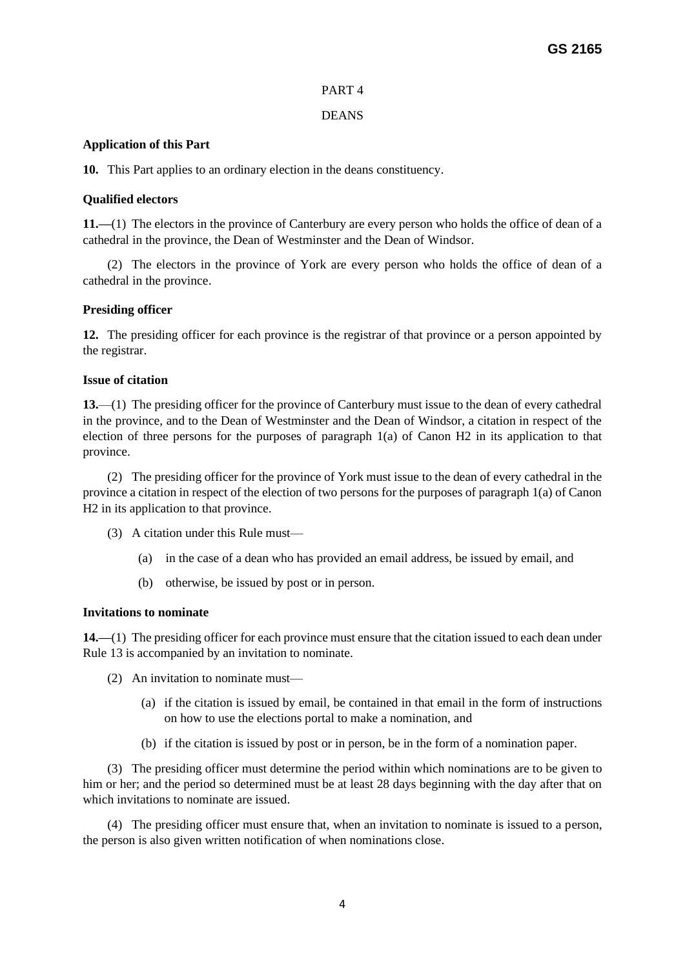# PART 4

# DEANS

# **Application of this Part**

**10.** This Part applies to an ordinary election in the deans constituency.

# **Qualified electors**

**11.—**(1) The electors in the province of Canterbury are every person who holds the office of dean of a cathedral in the province, the Dean of Westminster and the Dean of Windsor.

(2) The electors in the province of York are every person who holds the office of dean of a cathedral in the province.

# **Presiding officer**

**12.** The presiding officer for each province is the registrar of that province or a person appointed by the registrar.

# **Issue of citation**

**13.**—(1) The presiding officer for the province of Canterbury must issue to the dean of every cathedral in the province, and to the Dean of Westminster and the Dean of Windsor, a citation in respect of the election of three persons for the purposes of paragraph 1(a) of Canon H2 in its application to that province.

(2) The presiding officer for the province of York must issue to the dean of every cathedral in the province a citation in respect of the election of two persons for the purposes of paragraph 1(a) of Canon H2 in its application to that province.

- (3) A citation under this Rule must—
	- (a) in the case of a dean who has provided an email address, be issued by email, and
	- (b) otherwise, be issued by post or in person.

# **Invitations to nominate**

**14.—**(1) The presiding officer for each province must ensure that the citation issued to each dean under Rule 13 is accompanied by an invitation to nominate.

- (2) An invitation to nominate must—
	- (a) if the citation is issued by email, be contained in that email in the form of instructions on how to use the elections portal to make a nomination, and
	- (b) if the citation is issued by post or in person, be in the form of a nomination paper.

(3) The presiding officer must determine the period within which nominations are to be given to him or her; and the period so determined must be at least 28 days beginning with the day after that on which invitations to nominate are issued.

(4) The presiding officer must ensure that, when an invitation to nominate is issued to a person, the person is also given written notification of when nominations close.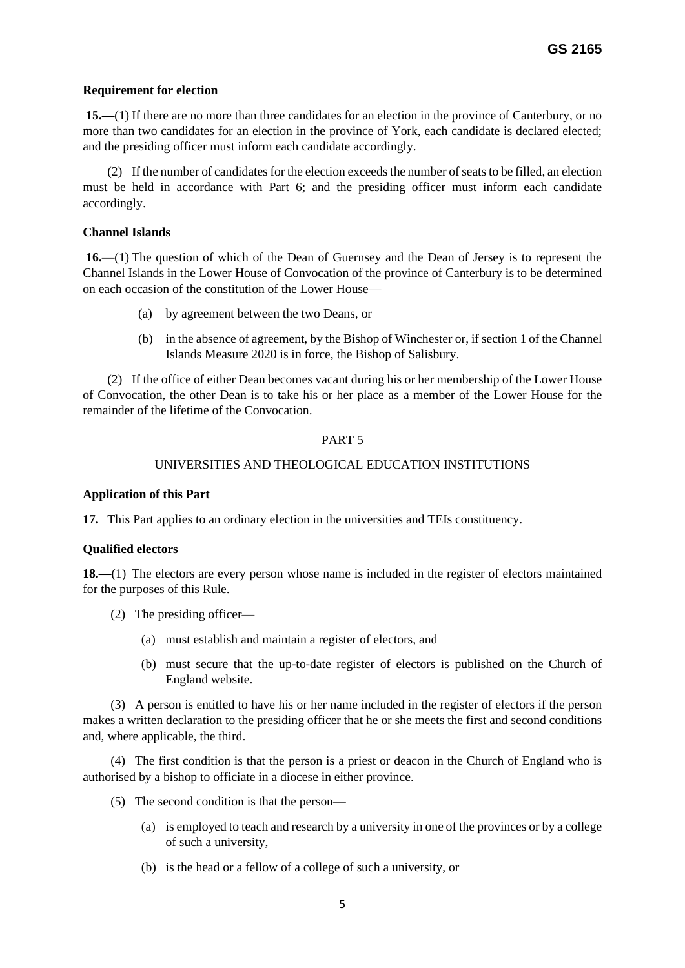# **Requirement for election**

**15.—**(1) If there are no more than three candidates for an election in the province of Canterbury, or no more than two candidates for an election in the province of York, each candidate is declared elected; and the presiding officer must inform each candidate accordingly.

(2) If the number of candidates for the election exceeds the number of seats to be filled, an election must be held in accordance with Part 6; and the presiding officer must inform each candidate accordingly.

# **Channel Islands**

**16.**—(1) The question of which of the Dean of Guernsey and the Dean of Jersey is to represent the Channel Islands in the Lower House of Convocation of the province of Canterbury is to be determined on each occasion of the constitution of the Lower House—

- (a) by agreement between the two Deans, or
- (b) in the absence of agreement, by the Bishop of Winchester or, if section 1 of the Channel Islands Measure 2020 is in force, the Bishop of Salisbury.

(2) If the office of either Dean becomes vacant during his or her membership of the Lower House of Convocation, the other Dean is to take his or her place as a member of the Lower House for the remainder of the lifetime of the Convocation.

# PART 5

# UNIVERSITIES AND THEOLOGICAL EDUCATION INSTITUTIONS

# **Application of this Part**

**17.** This Part applies to an ordinary election in the universities and TEIs constituency.

# **Qualified electors**

**18.—**(1) The electors are every person whose name is included in the register of electors maintained for the purposes of this Rule.

- (2) The presiding officer—
	- (a) must establish and maintain a register of electors, and
	- (b) must secure that the up-to-date register of electors is published on the Church of England website.

(3) A person is entitled to have his or her name included in the register of electors if the person makes a written declaration to the presiding officer that he or she meets the first and second conditions and, where applicable, the third.

(4) The first condition is that the person is a priest or deacon in the Church of England who is authorised by a bishop to officiate in a diocese in either province.

- (5) The second condition is that the person—
	- (a) is employed to teach and research by a university in one of the provinces or by a college of such a university,
	- (b) is the head or a fellow of a college of such a university, or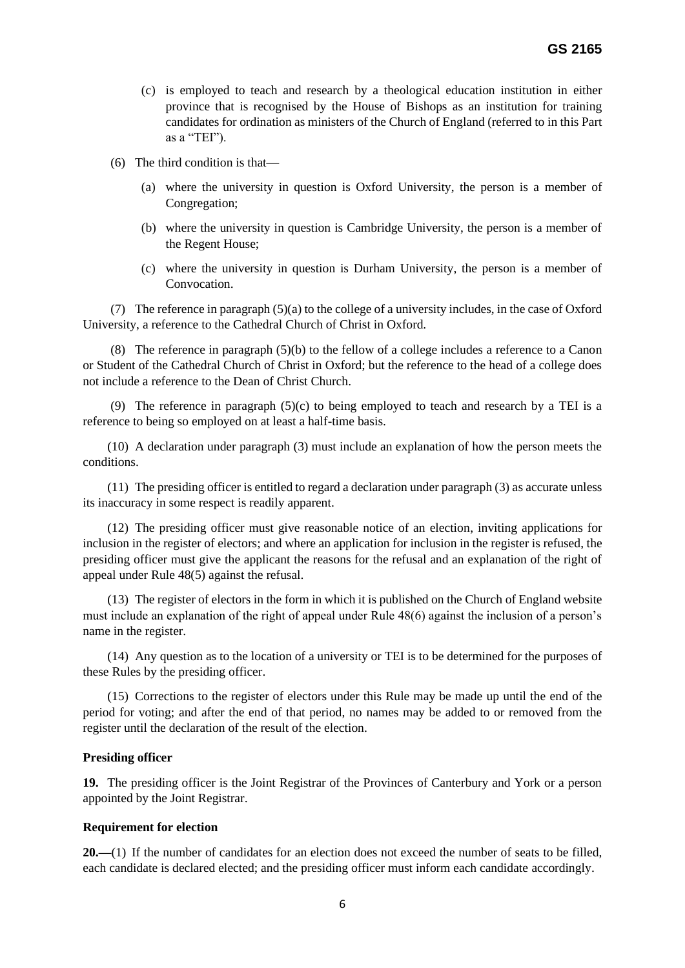- (c) is employed to teach and research by a theological education institution in either province that is recognised by the House of Bishops as an institution for training candidates for ordination as ministers of the Church of England (referred to in this Part as a "TEI").
- (6) The third condition is that—
	- (a) where the university in question is Oxford University, the person is a member of Congregation;
	- (b) where the university in question is Cambridge University, the person is a member of the Regent House;
	- (c) where the university in question is Durham University, the person is a member of Convocation.

(7) The reference in paragraph (5)(a) to the college of a university includes, in the case of Oxford University, a reference to the Cathedral Church of Christ in Oxford.

(8) The reference in paragraph (5)(b) to the fellow of a college includes a reference to a Canon or Student of the Cathedral Church of Christ in Oxford; but the reference to the head of a college does not include a reference to the Dean of Christ Church.

(9) The reference in paragraph  $(5)(c)$  to being employed to teach and research by a TEI is a reference to being so employed on at least a half-time basis.

(10) A declaration under paragraph (3) must include an explanation of how the person meets the conditions.

(11) The presiding officer is entitled to regard a declaration under paragraph (3) as accurate unless its inaccuracy in some respect is readily apparent.

(12) The presiding officer must give reasonable notice of an election, inviting applications for inclusion in the register of electors; and where an application for inclusion in the register is refused, the presiding officer must give the applicant the reasons for the refusal and an explanation of the right of appeal under Rule 48(5) against the refusal.

(13) The register of electors in the form in which it is published on the Church of England website must include an explanation of the right of appeal under Rule 48(6) against the inclusion of a person's name in the register.

(14) Any question as to the location of a university or TEI is to be determined for the purposes of these Rules by the presiding officer.

(15) Corrections to the register of electors under this Rule may be made up until the end of the period for voting; and after the end of that period, no names may be added to or removed from the register until the declaration of the result of the election.

# **Presiding officer**

**19.** The presiding officer is the Joint Registrar of the Provinces of Canterbury and York or a person appointed by the Joint Registrar.

# **Requirement for election**

**20.—**(1) If the number of candidates for an election does not exceed the number of seats to be filled, each candidate is declared elected; and the presiding officer must inform each candidate accordingly.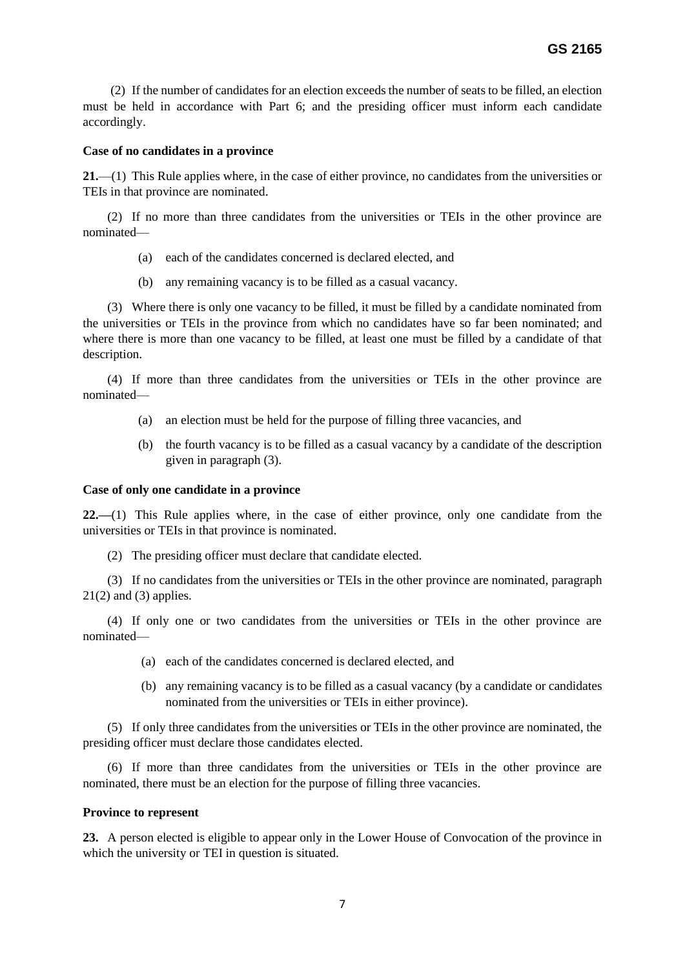(2) If the number of candidates for an election exceeds the number of seats to be filled, an election must be held in accordance with Part 6; and the presiding officer must inform each candidate accordingly.

### **Case of no candidates in a province**

**21.**—(1) This Rule applies where, in the case of either province, no candidates from the universities or TEIs in that province are nominated.

(2) If no more than three candidates from the universities or TEIs in the other province are nominated—

- (a) each of the candidates concerned is declared elected, and
- (b) any remaining vacancy is to be filled as a casual vacancy.

(3) Where there is only one vacancy to be filled, it must be filled by a candidate nominated from the universities or TEIs in the province from which no candidates have so far been nominated; and where there is more than one vacancy to be filled, at least one must be filled by a candidate of that description.

(4) If more than three candidates from the universities or TEIs in the other province are nominated—

- (a) an election must be held for the purpose of filling three vacancies, and
- (b) the fourth vacancy is to be filled as a casual vacancy by a candidate of the description given in paragraph (3).

#### **Case of only one candidate in a province**

**22.—**(1) This Rule applies where, in the case of either province, only one candidate from the universities or TEIs in that province is nominated.

(2) The presiding officer must declare that candidate elected.

(3) If no candidates from the universities or TEIs in the other province are nominated, paragraph  $21(2)$  and (3) applies.

(4) If only one or two candidates from the universities or TEIs in the other province are nominated—

- (a) each of the candidates concerned is declared elected, and
- (b) any remaining vacancy is to be filled as a casual vacancy (by a candidate or candidates nominated from the universities or TEIs in either province).

(5) If only three candidates from the universities or TEIs in the other province are nominated, the presiding officer must declare those candidates elected.

(6) If more than three candidates from the universities or TEIs in the other province are nominated, there must be an election for the purpose of filling three vacancies.

#### **Province to represent**

**23.** A person elected is eligible to appear only in the Lower House of Convocation of the province in which the university or TEI in question is situated.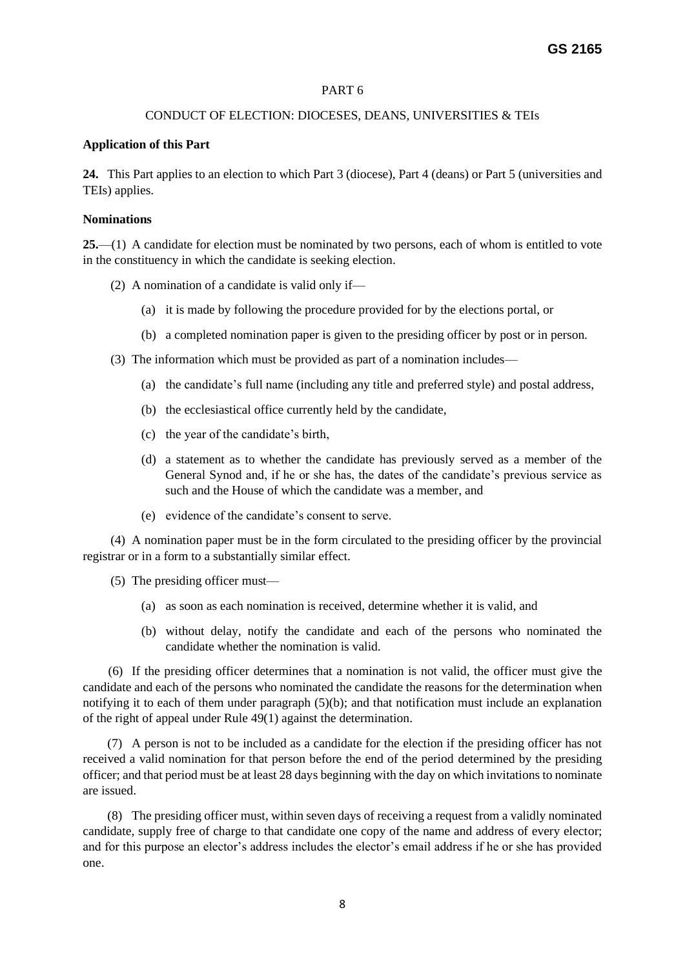# PART 6

### CONDUCT OF ELECTION: DIOCESES, DEANS, UNIVERSITIES & TEIs

### **Application of this Part**

**24.** This Part applies to an election to which Part 3 (diocese), Part 4 (deans) or Part 5 (universities and TEIs) applies.

#### **Nominations**

**25.**—(1) A candidate for election must be nominated by two persons, each of whom is entitled to vote in the constituency in which the candidate is seeking election.

- (2) A nomination of a candidate is valid only if—
	- (a) it is made by following the procedure provided for by the elections portal, or
	- (b) a completed nomination paper is given to the presiding officer by post or in person.
- (3) The information which must be provided as part of a nomination includes—
	- (a) the candidate's full name (including any title and preferred style) and postal address,
	- (b) the ecclesiastical office currently held by the candidate,
	- (c) the year of the candidate's birth,
	- (d) a statement as to whether the candidate has previously served as a member of the General Synod and, if he or she has, the dates of the candidate's previous service as such and the House of which the candidate was a member, and
	- (e) evidence of the candidate's consent to serve.

(4) A nomination paper must be in the form circulated to the presiding officer by the provincial registrar or in a form to a substantially similar effect.

(5) The presiding officer must—

- (a) as soon as each nomination is received, determine whether it is valid, and
- (b) without delay, notify the candidate and each of the persons who nominated the candidate whether the nomination is valid.

 (6) If the presiding officer determines that a nomination is not valid, the officer must give the candidate and each of the persons who nominated the candidate the reasons for the determination when notifying it to each of them under paragraph (5)(b); and that notification must include an explanation of the right of appeal under Rule 49(1) against the determination.

(7) A person is not to be included as a candidate for the election if the presiding officer has not received a valid nomination for that person before the end of the period determined by the presiding officer; and that period must be at least 28 days beginning with the day on which invitations to nominate are issued.

(8) The presiding officer must, within seven days of receiving a request from a validly nominated candidate, supply free of charge to that candidate one copy of the name and address of every elector; and for this purpose an elector's address includes the elector's email address if he or she has provided one.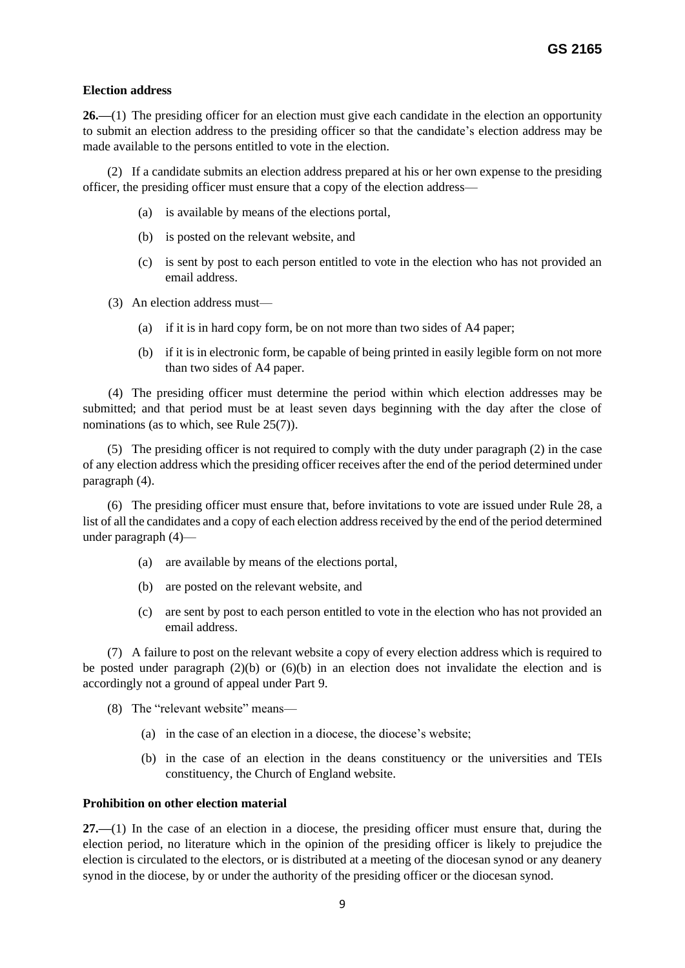# **Election address**

**26.—**(1) The presiding officer for an election must give each candidate in the election an opportunity to submit an election address to the presiding officer so that the candidate's election address may be made available to the persons entitled to vote in the election.

(2) If a candidate submits an election address prepared at his or her own expense to the presiding officer, the presiding officer must ensure that a copy of the election address—

- (a) is available by means of the elections portal,
- (b) is posted on the relevant website, and
- (c) is sent by post to each person entitled to vote in the election who has not provided an email address.
- (3) An election address must—
	- (a) if it is in hard copy form, be on not more than two sides of A4 paper;
	- (b) if it is in electronic form, be capable of being printed in easily legible form on not more than two sides of A4 paper.

 (4) The presiding officer must determine the period within which election addresses may be submitted; and that period must be at least seven days beginning with the day after the close of nominations (as to which, see Rule 25(7)).

(5) The presiding officer is not required to comply with the duty under paragraph (2) in the case of any election address which the presiding officer receives after the end of the period determined under paragraph (4).

(6) The presiding officer must ensure that, before invitations to vote are issued under Rule 28, a list of all the candidates and a copy of each election address received by the end of the period determined under paragraph (4)—

- (a) are available by means of the elections portal,
- (b) are posted on the relevant website, and
- (c) are sent by post to each person entitled to vote in the election who has not provided an email address.

(7) A failure to post on the relevant website a copy of every election address which is required to be posted under paragraph  $(2)(b)$  or  $(6)(b)$  in an election does not invalidate the election and is accordingly not a ground of appeal under Part 9.

- (8) The "relevant website" means—
	- (a) in the case of an election in a diocese, the diocese's website;
	- (b) in the case of an election in the deans constituency or the universities and TEIs constituency, the Church of England website.

# **Prohibition on other election material**

**27.—**(1) In the case of an election in a diocese, the presiding officer must ensure that, during the election period, no literature which in the opinion of the presiding officer is likely to prejudice the election is circulated to the electors, or is distributed at a meeting of the diocesan synod or any deanery synod in the diocese, by or under the authority of the presiding officer or the diocesan synod.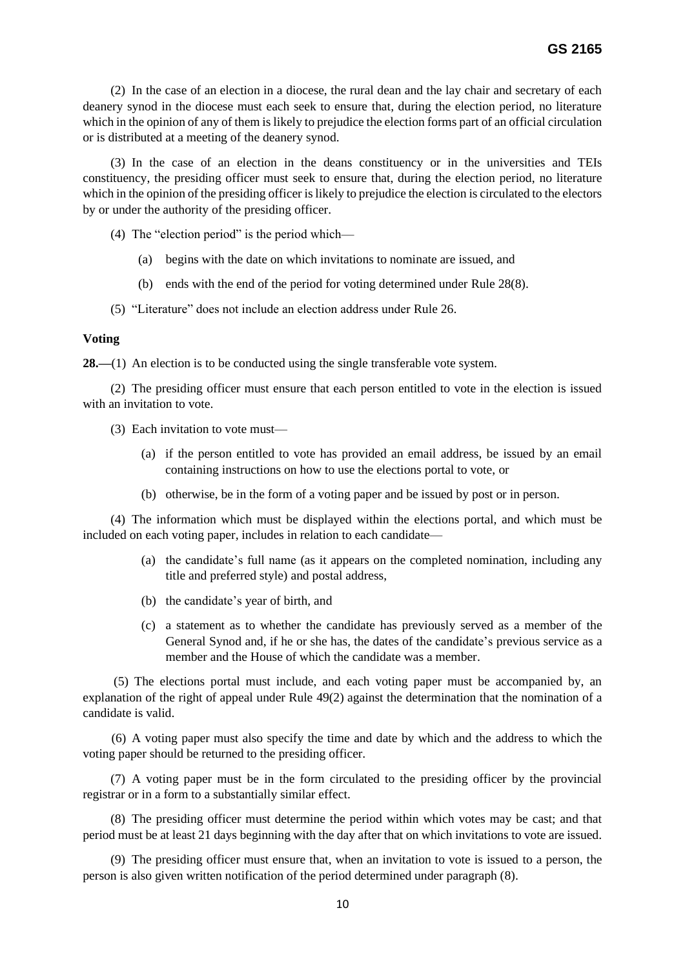(2) In the case of an election in a diocese, the rural dean and the lay chair and secretary of each deanery synod in the diocese must each seek to ensure that, during the election period, no literature which in the opinion of any of them is likely to prejudice the election forms part of an official circulation or is distributed at a meeting of the deanery synod.

(3) In the case of an election in the deans constituency or in the universities and TEIs constituency, the presiding officer must seek to ensure that, during the election period, no literature which in the opinion of the presiding officer is likely to prejudice the election is circulated to the electors by or under the authority of the presiding officer.

(4) The "election period" is the period which—

- (a) begins with the date on which invitations to nominate are issued, and
- (b) ends with the end of the period for voting determined under Rule 28(8).
- (5) "Literature" does not include an election address under Rule 26.

#### **Voting**

**28.—(1)** An election is to be conducted using the single transferable vote system.

(2) The presiding officer must ensure that each person entitled to vote in the election is issued with an invitation to vote.

- (3) Each invitation to vote must—
	- (a) if the person entitled to vote has provided an email address, be issued by an email containing instructions on how to use the elections portal to vote, or
	- (b) otherwise, be in the form of a voting paper and be issued by post or in person.

(4) The information which must be displayed within the elections portal, and which must be included on each voting paper, includes in relation to each candidate—

- (a) the candidate's full name (as it appears on the completed nomination, including any title and preferred style) and postal address,
- (b) the candidate's year of birth, and
- (c) a statement as to whether the candidate has previously served as a member of the General Synod and, if he or she has, the dates of the candidate's previous service as a member and the House of which the candidate was a member.

 (5) The elections portal must include, and each voting paper must be accompanied by, an explanation of the right of appeal under Rule 49(2) against the determination that the nomination of a candidate is valid.

 (6) A voting paper must also specify the time and date by which and the address to which the voting paper should be returned to the presiding officer.

(7) A voting paper must be in the form circulated to the presiding officer by the provincial registrar or in a form to a substantially similar effect.

(8) The presiding officer must determine the period within which votes may be cast; and that period must be at least 21 days beginning with the day after that on which invitations to vote are issued.

(9) The presiding officer must ensure that, when an invitation to vote is issued to a person, the person is also given written notification of the period determined under paragraph (8).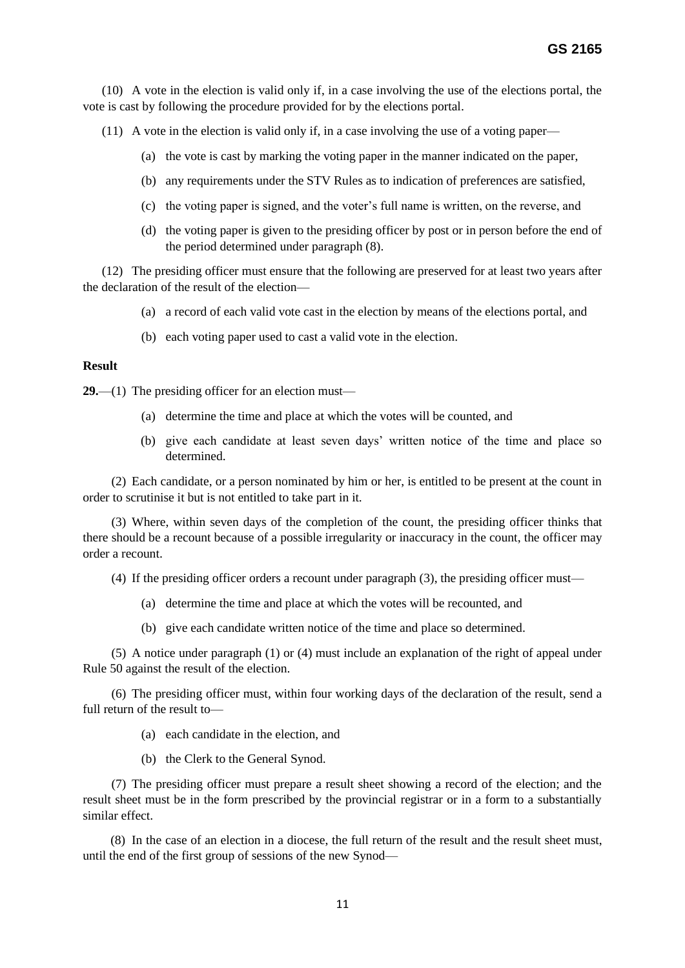(10) A vote in the election is valid only if, in a case involving the use of the elections portal, the vote is cast by following the procedure provided for by the elections portal.

(11) A vote in the election is valid only if, in a case involving the use of a voting paper—

- (a) the vote is cast by marking the voting paper in the manner indicated on the paper,
- (b) any requirements under the STV Rules as to indication of preferences are satisfied,
- (c) the voting paper is signed, and the voter's full name is written, on the reverse, and
- (d) the voting paper is given to the presiding officer by post or in person before the end of the period determined under paragraph (8).

 (12) The presiding officer must ensure that the following are preserved for at least two years after the declaration of the result of the election—

- (a) a record of each valid vote cast in the election by means of the elections portal, and
- (b) each voting paper used to cast a valid vote in the election.

# **Result**

**29.**—(1) The presiding officer for an election must—

- (a) determine the time and place at which the votes will be counted, and
- (b) give each candidate at least seven days' written notice of the time and place so determined.

 (2) Each candidate, or a person nominated by him or her, is entitled to be present at the count in order to scrutinise it but is not entitled to take part in it.

 (3) Where, within seven days of the completion of the count, the presiding officer thinks that there should be a recount because of a possible irregularity or inaccuracy in the count, the officer may order a recount.

(4) If the presiding officer orders a recount under paragraph (3), the presiding officer must—

- (a) determine the time and place at which the votes will be recounted, and
- (b) give each candidate written notice of the time and place so determined.

 (5) A notice under paragraph (1) or (4) must include an explanation of the right of appeal under Rule 50 against the result of the election.

 (6) The presiding officer must, within four working days of the declaration of the result, send a full return of the result to—

- (a) each candidate in the election, and
- (b) the Clerk to the General Synod.

 (7) The presiding officer must prepare a result sheet showing a record of the election; and the result sheet must be in the form prescribed by the provincial registrar or in a form to a substantially similar effect.

(8) In the case of an election in a diocese, the full return of the result and the result sheet must, until the end of the first group of sessions of the new Synod—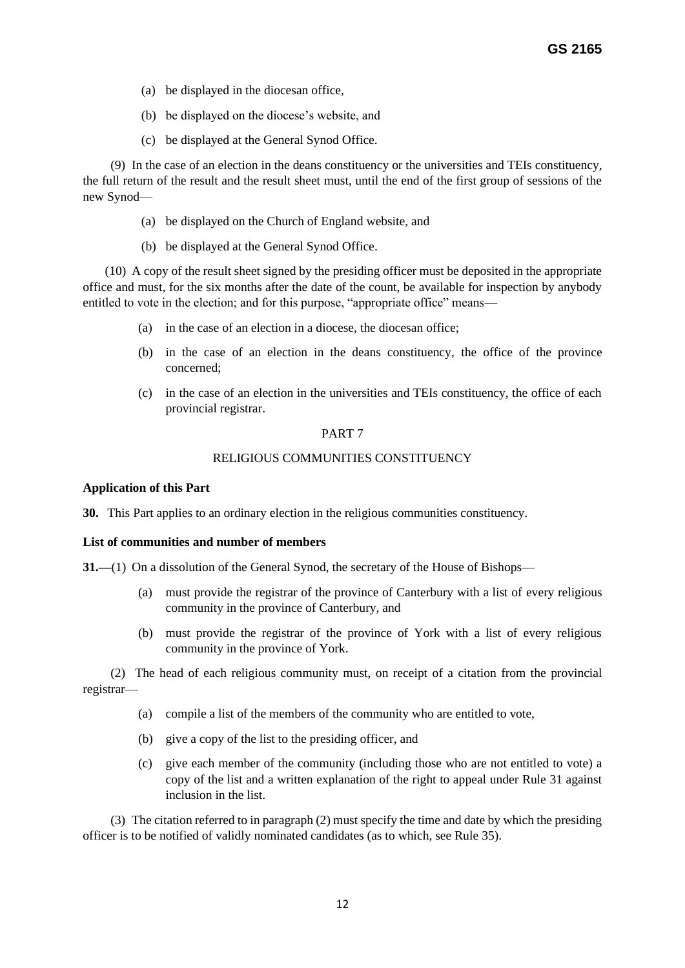- (a) be displayed in the diocesan office,
- (b) be displayed on the diocese's website, and
- (c) be displayed at the General Synod Office.

(9) In the case of an election in the deans constituency or the universities and TEIs constituency, the full return of the result and the result sheet must, until the end of the first group of sessions of the new Synod—

- (a) be displayed on the Church of England website, and
- (b) be displayed at the General Synod Office.

 (10) A copy of the result sheet signed by the presiding officer must be deposited in the appropriate office and must, for the six months after the date of the count, be available for inspection by anybody entitled to vote in the election; and for this purpose, "appropriate office" means—

- (a) in the case of an election in a diocese, the diocesan office;
- (b) in the case of an election in the deans constituency, the office of the province concerned;
- (c) in the case of an election in the universities and TEIs constituency, the office of each provincial registrar.

# PART 7

# RELIGIOUS COMMUNITIES CONSTITUENCY

# **Application of this Part**

**30.** This Part applies to an ordinary election in the religious communities constituency.

# **List of communities and number of members**

**31.**—(1) On a dissolution of the General Synod, the secretary of the House of Bishops—

- (a) must provide the registrar of the province of Canterbury with a list of every religious community in the province of Canterbury, and
- (b) must provide the registrar of the province of York with a list of every religious community in the province of York.

(2) The head of each religious community must, on receipt of a citation from the provincial registrar—

- (a) compile a list of the members of the community who are entitled to vote,
- (b) give a copy of the list to the presiding officer, and
- (c) give each member of the community (including those who are not entitled to vote) a copy of the list and a written explanation of the right to appeal under Rule 31 against inclusion in the list.

(3) The citation referred to in paragraph (2) must specify the time and date by which the presiding officer is to be notified of validly nominated candidates (as to which, see Rule 35).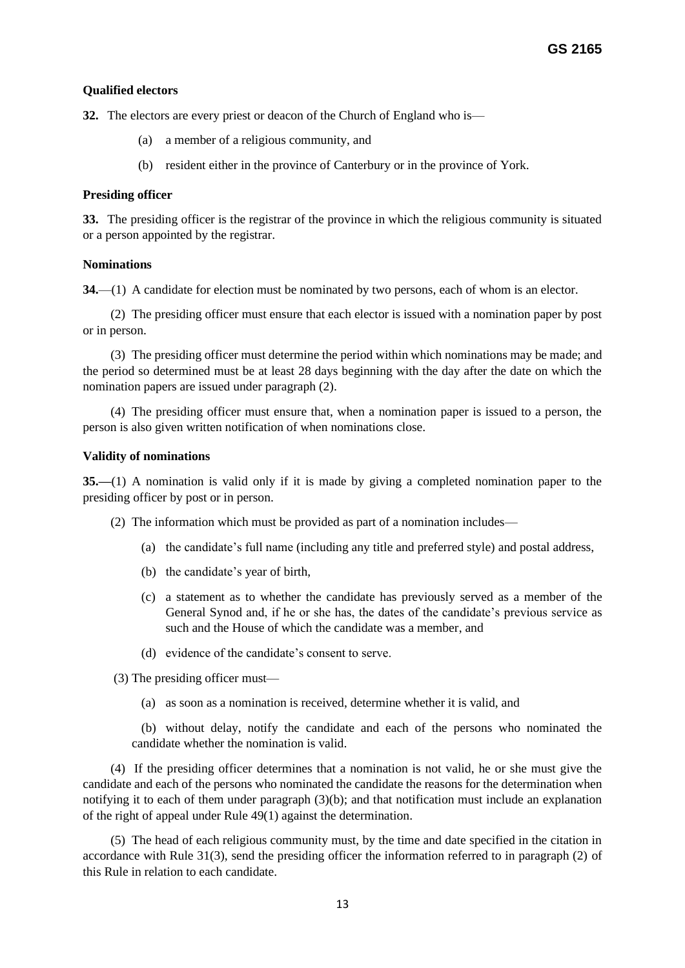# **Qualified electors**

**32.** The electors are every priest or deacon of the Church of England who is—

- (a) a member of a religious community, and
- (b) resident either in the province of Canterbury or in the province of York.

# **Presiding officer**

**33.** The presiding officer is the registrar of the province in which the religious community is situated or a person appointed by the registrar.

# **Nominations**

**34.**—(1) A candidate for election must be nominated by two persons, each of whom is an elector.

(2) The presiding officer must ensure that each elector is issued with a nomination paper by post or in person.

(3) The presiding officer must determine the period within which nominations may be made; and the period so determined must be at least 28 days beginning with the day after the date on which the nomination papers are issued under paragraph (2).

(4) The presiding officer must ensure that, when a nomination paper is issued to a person, the person is also given written notification of when nominations close.

# **Validity of nominations**

**35.—**(1) A nomination is valid only if it is made by giving a completed nomination paper to the presiding officer by post or in person.

(2) The information which must be provided as part of a nomination includes—

- (a) the candidate's full name (including any title and preferred style) and postal address,
- (b) the candidate's year of birth,
- (c) a statement as to whether the candidate has previously served as a member of the General Synod and, if he or she has, the dates of the candidate's previous service as such and the House of which the candidate was a member, and
- (d) evidence of the candidate's consent to serve.

(3) The presiding officer must—

(a) as soon as a nomination is received, determine whether it is valid, and

 (b) without delay, notify the candidate and each of the persons who nominated the candidate whether the nomination is valid.

(4) If the presiding officer determines that a nomination is not valid, he or she must give the candidate and each of the persons who nominated the candidate the reasons for the determination when notifying it to each of them under paragraph (3)(b); and that notification must include an explanation of the right of appeal under Rule 49(1) against the determination.

(5) The head of each religious community must, by the time and date specified in the citation in accordance with Rule 31(3), send the presiding officer the information referred to in paragraph (2) of this Rule in relation to each candidate.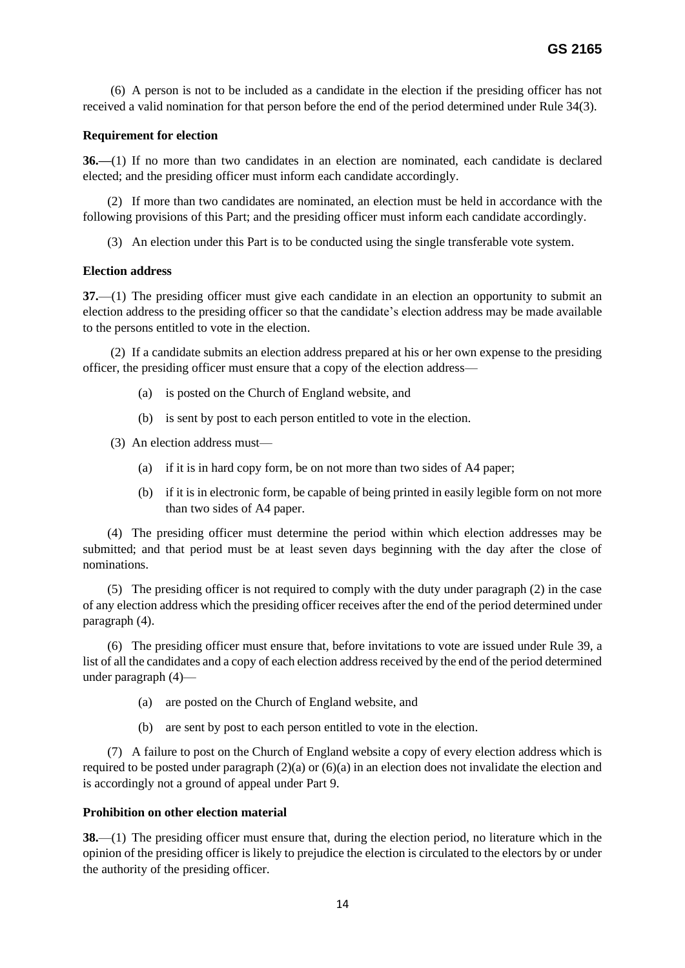(6) A person is not to be included as a candidate in the election if the presiding officer has not received a valid nomination for that person before the end of the period determined under Rule 34(3).

# **Requirement for election**

**36.—**(1) If no more than two candidates in an election are nominated, each candidate is declared elected; and the presiding officer must inform each candidate accordingly.

(2) If more than two candidates are nominated, an election must be held in accordance with the following provisions of this Part; and the presiding officer must inform each candidate accordingly.

(3) An election under this Part is to be conducted using the single transferable vote system.

# **Election address**

**37.**—(1) The presiding officer must give each candidate in an election an opportunity to submit an election address to the presiding officer so that the candidate's election address may be made available to the persons entitled to vote in the election.

(2) If a candidate submits an election address prepared at his or her own expense to the presiding officer, the presiding officer must ensure that a copy of the election address—

- (a) is posted on the Church of England website, and
- (b) is sent by post to each person entitled to vote in the election.

(3) An election address must—

- (a) if it is in hard copy form, be on not more than two sides of A4 paper;
- (b) if it is in electronic form, be capable of being printed in easily legible form on not more than two sides of A4 paper.

(4) The presiding officer must determine the period within which election addresses may be submitted; and that period must be at least seven days beginning with the day after the close of nominations.

(5) The presiding officer is not required to comply with the duty under paragraph (2) in the case of any election address which the presiding officer receives after the end of the period determined under paragraph (4).

(6) The presiding officer must ensure that, before invitations to vote are issued under Rule 39, a list of all the candidates and a copy of each election address received by the end of the period determined under paragraph (4)—

- (a) are posted on the Church of England website, and
- (b) are sent by post to each person entitled to vote in the election.

(7) A failure to post on the Church of England website a copy of every election address which is required to be posted under paragraph (2)(a) or (6)(a) in an election does not invalidate the election and is accordingly not a ground of appeal under Part 9.

# **Prohibition on other election material**

**38.**—(1) The presiding officer must ensure that, during the election period, no literature which in the opinion of the presiding officer is likely to prejudice the election is circulated to the electors by or under the authority of the presiding officer.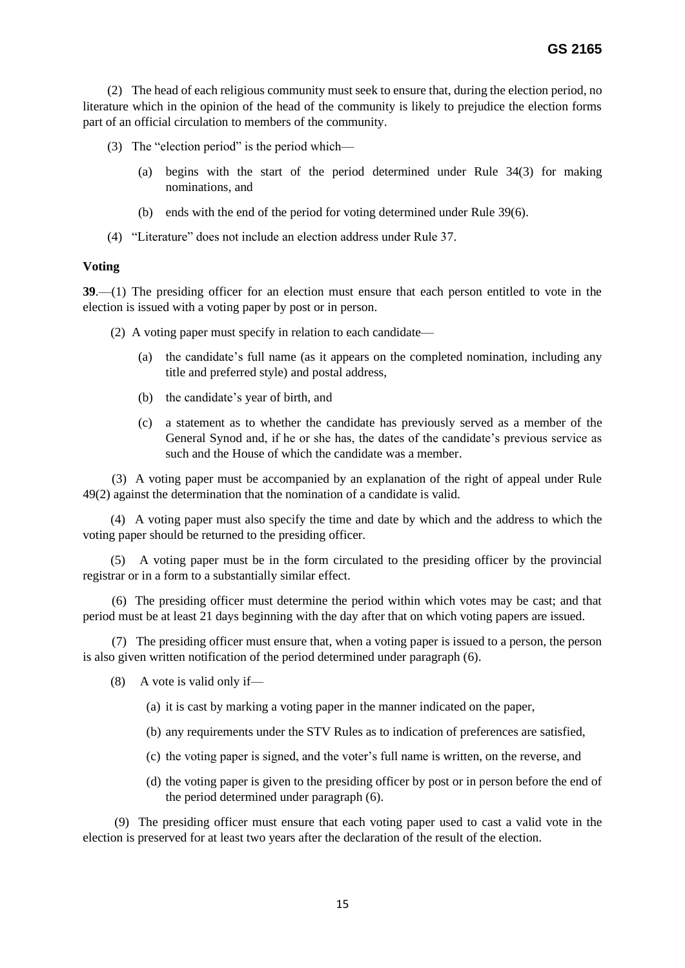(2) The head of each religious community must seek to ensure that, during the election period, no literature which in the opinion of the head of the community is likely to prejudice the election forms part of an official circulation to members of the community.

- (3) The "election period" is the period which—
	- (a) begins with the start of the period determined under Rule 34(3) for making nominations, and
	- (b) ends with the end of the period for voting determined under Rule 39(6).
- (4) "Literature" does not include an election address under Rule 37.

#### **Voting**

**39**.—(1) The presiding officer for an election must ensure that each person entitled to vote in the election is issued with a voting paper by post or in person.

- (2) A voting paper must specify in relation to each candidate—
	- (a) the candidate's full name (as it appears on the completed nomination, including any title and preferred style) and postal address,
	- (b) the candidate's year of birth, and
	- (c) a statement as to whether the candidate has previously served as a member of the General Synod and, if he or she has, the dates of the candidate's previous service as such and the House of which the candidate was a member.

 (3) A voting paper must be accompanied by an explanation of the right of appeal under Rule 49(2) against the determination that the nomination of a candidate is valid.

(4) A voting paper must also specify the time and date by which and the address to which the voting paper should be returned to the presiding officer.

(5) A voting paper must be in the form circulated to the presiding officer by the provincial registrar or in a form to a substantially similar effect.

 (6) The presiding officer must determine the period within which votes may be cast; and that period must be at least 21 days beginning with the day after that on which voting papers are issued.

 (7) The presiding officer must ensure that, when a voting paper is issued to a person, the person is also given written notification of the period determined under paragraph (6).

- (8) A vote is valid only if—
	- (a) it is cast by marking a voting paper in the manner indicated on the paper,
	- (b) any requirements under the STV Rules as to indication of preferences are satisfied,
	- (c) the voting paper is signed, and the voter's full name is written, on the reverse, and
	- (d) the voting paper is given to the presiding officer by post or in person before the end of the period determined under paragraph (6).

 (9) The presiding officer must ensure that each voting paper used to cast a valid vote in the election is preserved for at least two years after the declaration of the result of the election.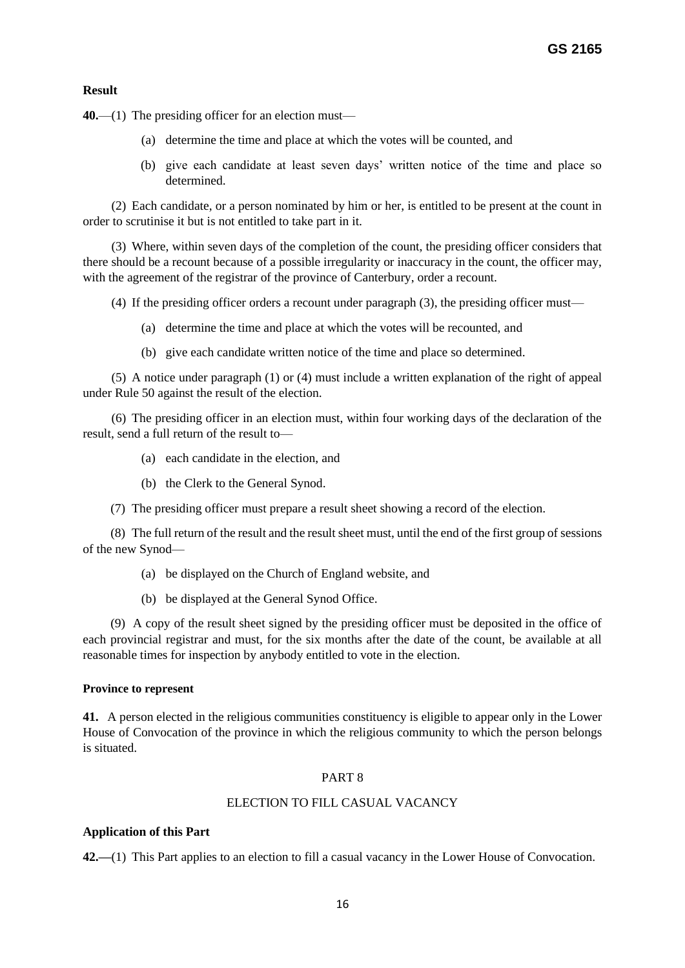# **Result**

**40.**—(1) The presiding officer for an election must—

- (a) determine the time and place at which the votes will be counted, and
- (b) give each candidate at least seven days' written notice of the time and place so determined.

 (2) Each candidate, or a person nominated by him or her, is entitled to be present at the count in order to scrutinise it but is not entitled to take part in it.

 (3) Where, within seven days of the completion of the count, the presiding officer considers that there should be a recount because of a possible irregularity or inaccuracy in the count, the officer may, with the agreement of the registrar of the province of Canterbury, order a recount.

(4) If the presiding officer orders a recount under paragraph (3), the presiding officer must—

- (a) determine the time and place at which the votes will be recounted, and
- (b) give each candidate written notice of the time and place so determined.

 (5) A notice under paragraph (1) or (4) must include a written explanation of the right of appeal under Rule 50 against the result of the election.

 (6) The presiding officer in an election must, within four working days of the declaration of the result, send a full return of the result to—

- (a) each candidate in the election, and
- (b) the Clerk to the General Synod.
- (7) The presiding officer must prepare a result sheet showing a record of the election.

(8) The full return of the result and the result sheet must, until the end of the first group of sessions of the new Synod—

- (a) be displayed on the Church of England website, and
- (b) be displayed at the General Synod Office.

(9) A copy of the result sheet signed by the presiding officer must be deposited in the office of each provincial registrar and must, for the six months after the date of the count, be available at all reasonable times for inspection by anybody entitled to vote in the election.

#### **Province to represent**

**41.** A person elected in the religious communities constituency is eligible to appear only in the Lower House of Convocation of the province in which the religious community to which the person belongs is situated.

# PART 8

#### ELECTION TO FILL CASUAL VACANCY

# **Application of this Part**

**42.—**(1) This Part applies to an election to fill a casual vacancy in the Lower House of Convocation.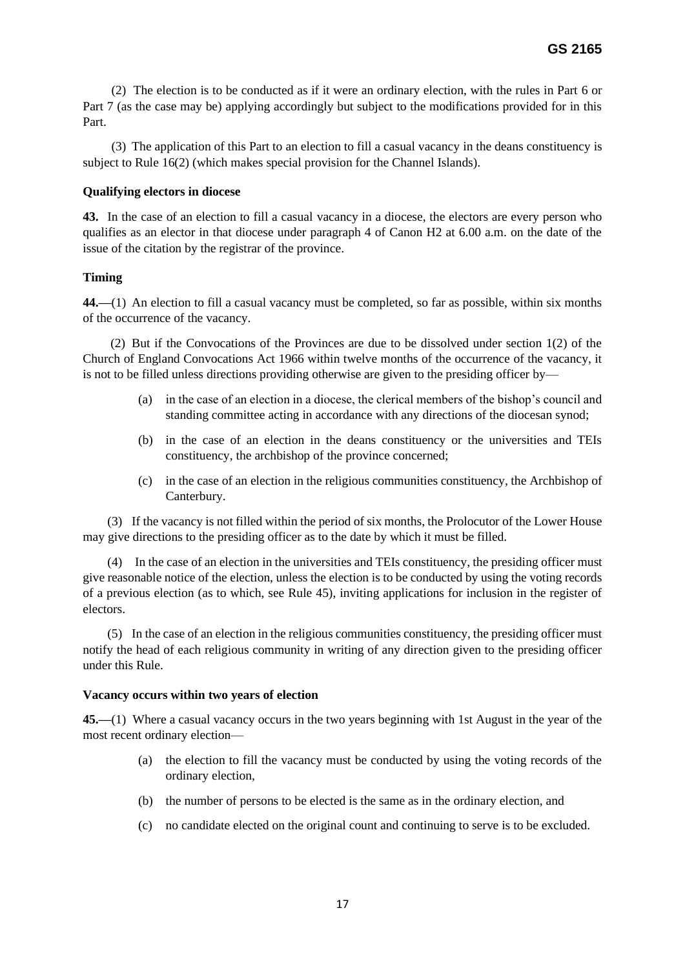(2)The election is to be conducted as if it were an ordinary election, with the rules in Part 6 or Part 7 (as the case may be) applying accordingly but subject to the modifications provided for in this Part.

 (3) The application of this Part to an election to fill a casual vacancy in the deans constituency is subject to Rule 16(2) (which makes special provision for the Channel Islands).

# **Qualifying electors in diocese**

**43.** In the case of an election to fill a casual vacancy in a diocese, the electors are every person who qualifies as an elector in that diocese under paragraph 4 of Canon H2 at 6.00 a.m. on the date of the issue of the citation by the registrar of the province.

# **Timing**

**44.—**(1) An election to fill a casual vacancy must be completed, so far as possible, within six months of the occurrence of the vacancy.

(2) But if the Convocations of the Provinces are due to be dissolved under section 1(2) of the Church of England Convocations Act 1966 within twelve months of the occurrence of the vacancy, it is not to be filled unless directions providing otherwise are given to the presiding officer by—

- (a) in the case of an election in a diocese, the clerical members of the bishop's council and standing committee acting in accordance with any directions of the diocesan synod;
- (b) in the case of an election in the deans constituency or the universities and TEIs constituency, the archbishop of the province concerned;
- (c) in the case of an election in the religious communities constituency, the Archbishop of Canterbury.

(3) If the vacancy is not filled within the period of six months, the Prolocutor of the Lower House may give directions to the presiding officer as to the date by which it must be filled.

(4) In the case of an election in the universities and TEIs constituency, the presiding officer must give reasonable notice of the election, unless the election is to be conducted by using the voting records of a previous election (as to which, see Rule 45), inviting applications for inclusion in the register of electors.

(5) In the case of an election in the religious communities constituency, the presiding officer must notify the head of each religious community in writing of any direction given to the presiding officer under this Rule.

# **Vacancy occurs within two years of election**

**45.—**(1) Where a casual vacancy occurs in the two years beginning with 1st August in the year of the most recent ordinary election—

- (a) the election to fill the vacancy must be conducted by using the voting records of the ordinary election,
- (b) the number of persons to be elected is the same as in the ordinary election, and
- (c) no candidate elected on the original count and continuing to serve is to be excluded.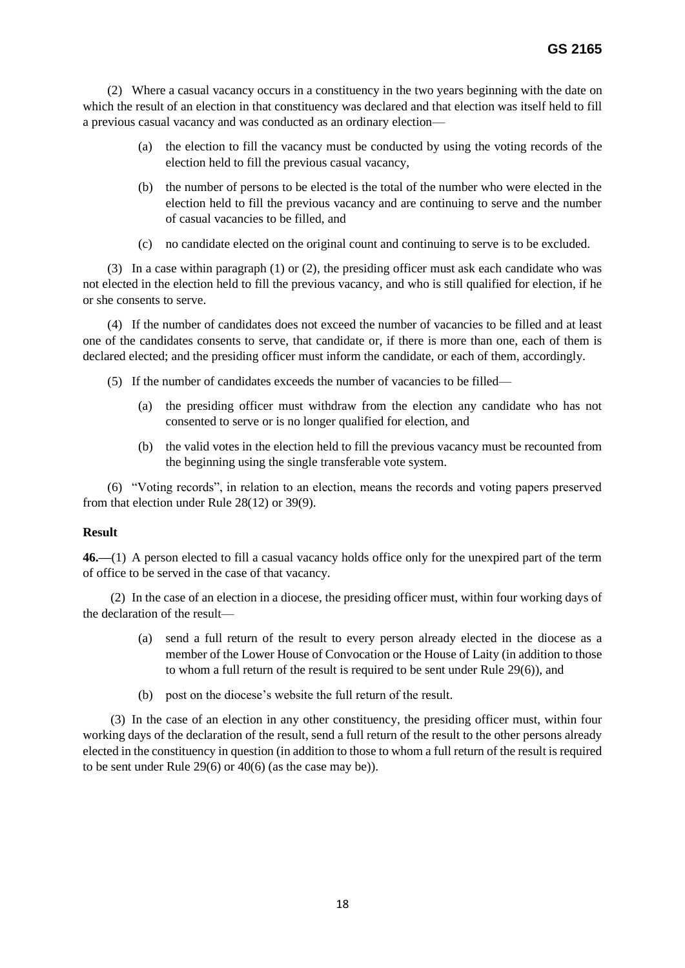(2) Where a casual vacancy occurs in a constituency in the two years beginning with the date on which the result of an election in that constituency was declared and that election was itself held to fill a previous casual vacancy and was conducted as an ordinary election—

- (a) the election to fill the vacancy must be conducted by using the voting records of the election held to fill the previous casual vacancy,
- (b) the number of persons to be elected is the total of the number who were elected in the election held to fill the previous vacancy and are continuing to serve and the number of casual vacancies to be filled, and
- (c) no candidate elected on the original count and continuing to serve is to be excluded.

(3) In a case within paragraph (1) or (2), the presiding officer must ask each candidate who was not elected in the election held to fill the previous vacancy, and who is still qualified for election, if he or she consents to serve.

(4) If the number of candidates does not exceed the number of vacancies to be filled and at least one of the candidates consents to serve, that candidate or, if there is more than one, each of them is declared elected; and the presiding officer must inform the candidate, or each of them, accordingly.

- (5) If the number of candidates exceeds the number of vacancies to be filled—
	- (a) the presiding officer must withdraw from the election any candidate who has not consented to serve or is no longer qualified for election, and
	- (b) the valid votes in the election held to fill the previous vacancy must be recounted from the beginning using the single transferable vote system.

(6) "Voting records", in relation to an election, means the records and voting papers preserved from that election under Rule 28(12) or 39(9).

#### **Result**

**46.—**(1) A person elected to fill a casual vacancy holds office only for the unexpired part of the term of office to be served in the case of that vacancy.

(2) In the case of an election in a diocese, the presiding officer must, within four working days of the declaration of the result—

- (a) send a full return of the result to every person already elected in the diocese as a member of the Lower House of Convocation or the House of Laity (in addition to those to whom a full return of the result is required to be sent under Rule 29(6)), and
- (b) post on the diocese's website the full return of the result.

(3) In the case of an election in any other constituency, the presiding officer must, within four working days of the declaration of the result, send a full return of the result to the other persons already elected in the constituency in question (in addition to those to whom a full return of the result is required to be sent under Rule 29(6) or 40(6) (as the case may be)).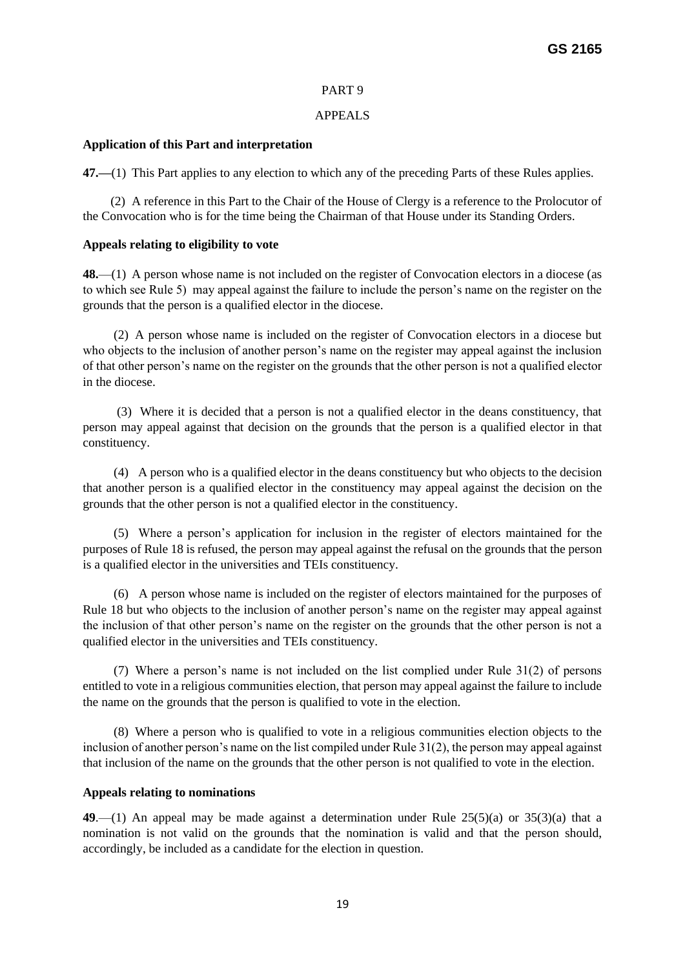# PART 9

# APPEALS

# **Application of this Part and interpretation**

**47.—**(1) This Part applies to any election to which any of the preceding Parts of these Rules applies.

(2) A reference in this Part to the Chair of the House of Clergy is a reference to the Prolocutor of the Convocation who is for the time being the Chairman of that House under its Standing Orders.

# **Appeals relating to eligibility to vote**

**48.**—(1) A person whose name is not included on the register of Convocation electors in a diocese (as to which see Rule 5) may appeal against the failure to include the person's name on the register on the grounds that the person is a qualified elector in the diocese.

 (2) A person whose name is included on the register of Convocation electors in a diocese but who objects to the inclusion of another person's name on the register may appeal against the inclusion of that other person's name on the register on the grounds that the other person is not a qualified elector in the diocese.

 (3) Where it is decided that a person is not a qualified elector in the deans constituency, that person may appeal against that decision on the grounds that the person is a qualified elector in that constituency.

 (4) A person who is a qualified elector in the deans constituency but who objects to the decision that another person is a qualified elector in the constituency may appeal against the decision on the grounds that the other person is not a qualified elector in the constituency.

 (5) Where a person's application for inclusion in the register of electors maintained for the purposes of Rule 18 is refused, the person may appeal against the refusal on the grounds that the person is a qualified elector in the universities and TEIs constituency.

 (6) A person whose name is included on the register of electors maintained for the purposes of Rule 18 but who objects to the inclusion of another person's name on the register may appeal against the inclusion of that other person's name on the register on the grounds that the other person is not a qualified elector in the universities and TEIs constituency.

 (7) Where a person's name is not included on the list complied under Rule 31(2) of persons entitled to vote in a religious communities election, that person may appeal against the failure to include the name on the grounds that the person is qualified to vote in the election.

 (8) Where a person who is qualified to vote in a religious communities election objects to the inclusion of another person's name on the list compiled under Rule 31(2), the person may appeal against that inclusion of the name on the grounds that the other person is not qualified to vote in the election.

# **Appeals relating to nominations**

**49**.—(1) An appeal may be made against a determination under Rule 25(5)(a) or 35(3)(a) that a nomination is not valid on the grounds that the nomination is valid and that the person should, accordingly, be included as a candidate for the election in question.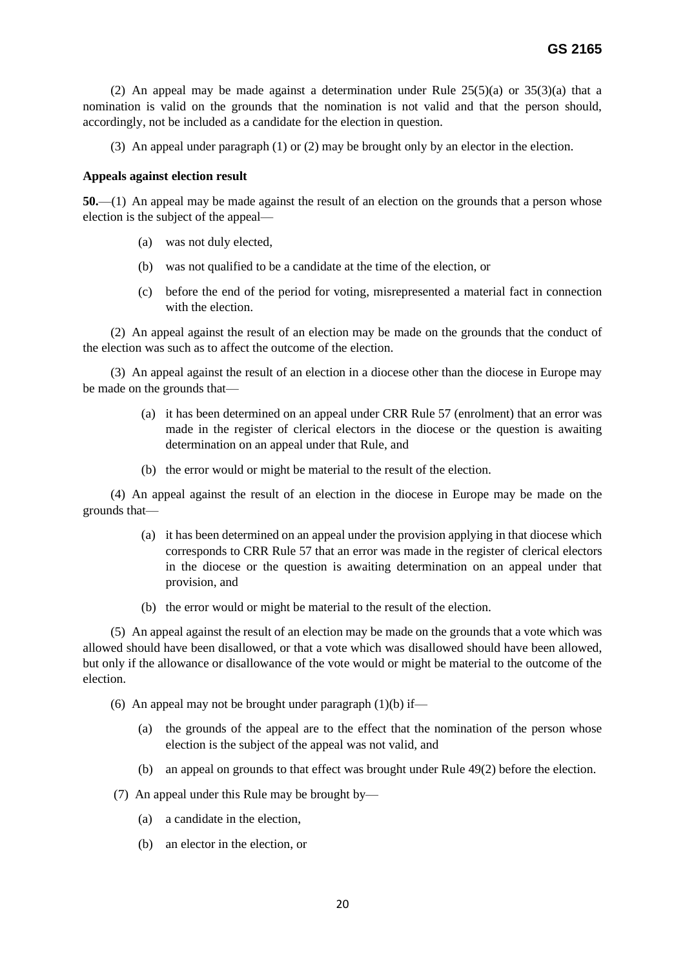(2) An appeal may be made against a determination under Rule  $25(5)(a)$  or  $35(3)(a)$  that a nomination is valid on the grounds that the nomination is not valid and that the person should, accordingly, not be included as a candidate for the election in question.

(3) An appeal under paragraph (1) or (2) may be brought only by an elector in the election.

#### **Appeals against election result**

**50.**—(1) An appeal may be made against the result of an election on the grounds that a person whose election is the subject of the appeal—

- (a) was not duly elected,
- (b) was not qualified to be a candidate at the time of the election, or
- (c) before the end of the period for voting, misrepresented a material fact in connection with the election.

(2) An appeal against the result of an election may be made on the grounds that the conduct of the election was such as to affect the outcome of the election.

(3) An appeal against the result of an election in a diocese other than the diocese in Europe may be made on the grounds that—

- (a) it has been determined on an appeal under CRR Rule 57 (enrolment) that an error was made in the register of clerical electors in the diocese or the question is awaiting determination on an appeal under that Rule, and
- (b) the error would or might be material to the result of the election.

(4) An appeal against the result of an election in the diocese in Europe may be made on the grounds that—

- (a) it has been determined on an appeal under the provision applying in that diocese which corresponds to CRR Rule 57 that an error was made in the register of clerical electors in the diocese or the question is awaiting determination on an appeal under that provision, and
- (b) the error would or might be material to the result of the election.

(5) An appeal against the result of an election may be made on the grounds that a vote which was allowed should have been disallowed, or that a vote which was disallowed should have been allowed, but only if the allowance or disallowance of the vote would or might be material to the outcome of the election.

(6) An appeal may not be brought under paragraph  $(1)(b)$  if—

- (a) the grounds of the appeal are to the effect that the nomination of the person whose election is the subject of the appeal was not valid, and
- (b) an appeal on grounds to that effect was brought under Rule 49(2) before the election.
- (7) An appeal under this Rule may be brought by—
	- (a) a candidate in the election,
	- (b) an elector in the election, or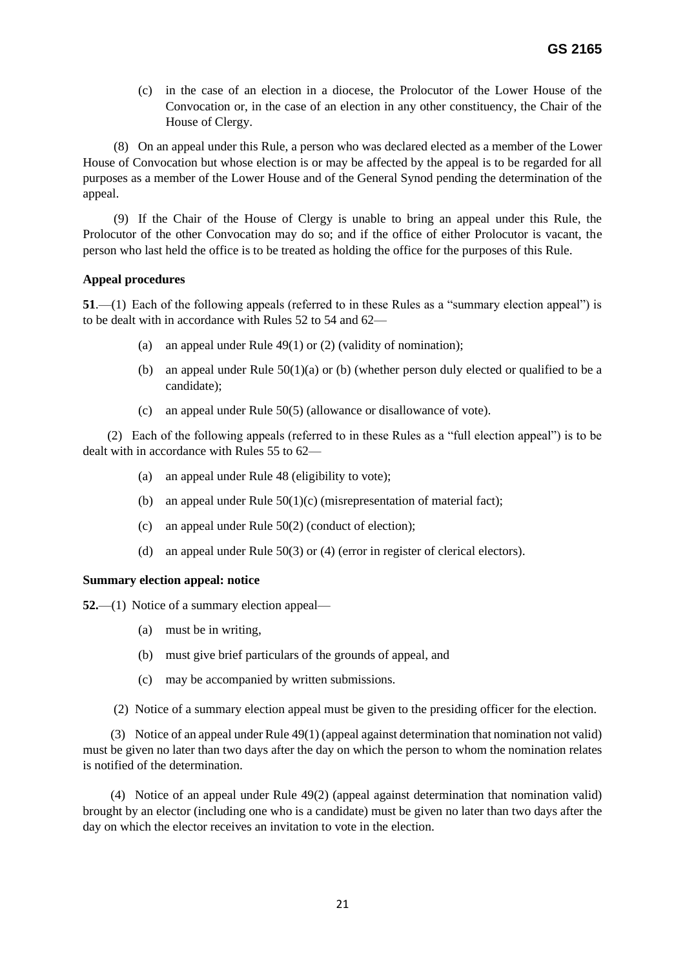(c) in the case of an election in a diocese, the Prolocutor of the Lower House of the Convocation or, in the case of an election in any other constituency, the Chair of the House of Clergy.

 (8) On an appeal under this Rule, a person who was declared elected as a member of the Lower House of Convocation but whose election is or may be affected by the appeal is to be regarded for all purposes as a member of the Lower House and of the General Synod pending the determination of the appeal.

 (9) If the Chair of the House of Clergy is unable to bring an appeal under this Rule, the Prolocutor of the other Convocation may do so; and if the office of either Prolocutor is vacant, the person who last held the office is to be treated as holding the office for the purposes of this Rule.

# **Appeal procedures**

**51**.—(1) Each of the following appeals (referred to in these Rules as a "summary election appeal") is to be dealt with in accordance with Rules 52 to 54 and 62—

- (a) an appeal under Rule  $49(1)$  or (2) (validity of nomination);
- (b) an appeal under Rule  $50(1)(a)$  or (b) (whether person duly elected or qualified to be a candidate);
- (c) an appeal under Rule 50(5) (allowance or disallowance of vote).

(2) Each of the following appeals (referred to in these Rules as a "full election appeal") is to be dealt with in accordance with Rules 55 to 62—

- (a) an appeal under Rule 48 (eligibility to vote);
- (b) an appeal under Rule  $50(1)(c)$  (misrepresentation of material fact);
- (c) an appeal under Rule 50(2) (conduct of election);
- (d) an appeal under Rule 50(3) or (4) (error in register of clerical electors).

# **Summary election appeal: notice**

**52.**—(1) Notice of a summary election appeal—

- (a) must be in writing,
- (b) must give brief particulars of the grounds of appeal, and
- (c) may be accompanied by written submissions.
- (2) Notice of a summary election appeal must be given to the presiding officer for the election.

(3) Notice of an appeal under Rule 49(1) (appeal against determination that nomination not valid) must be given no later than two days after the day on which the person to whom the nomination relates is notified of the determination.

(4) Notice of an appeal under Rule 49(2) (appeal against determination that nomination valid) brought by an elector (including one who is a candidate) must be given no later than two days after the day on which the elector receives an invitation to vote in the election.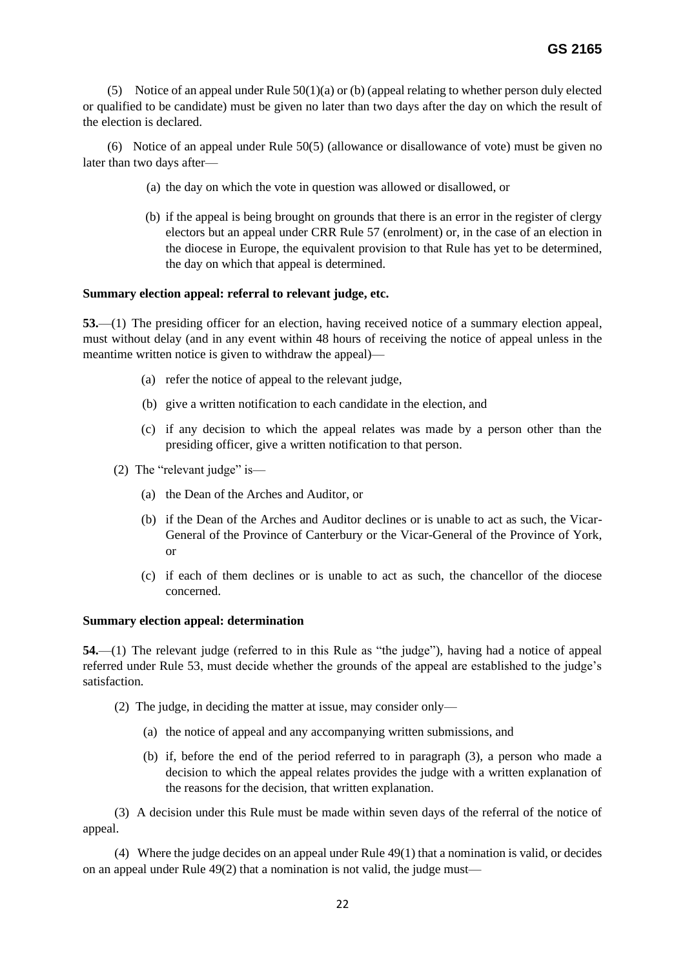(5) Notice of an appeal under Rule  $50(1)(a)$  or (b) (appeal relating to whether person duly elected or qualified to be candidate) must be given no later than two days after the day on which the result of the election is declared.

(6) Notice of an appeal under Rule 50(5) (allowance or disallowance of vote) must be given no later than two days after—

- (a) the day on which the vote in question was allowed or disallowed, or
- (b) if the appeal is being brought on grounds that there is an error in the register of clergy electors but an appeal under CRR Rule 57 (enrolment) or, in the case of an election in the diocese in Europe, the equivalent provision to that Rule has yet to be determined, the day on which that appeal is determined.

# **Summary election appeal: referral to relevant judge, etc.**

**53.**—(1) The presiding officer for an election, having received notice of a summary election appeal, must without delay (and in any event within 48 hours of receiving the notice of appeal unless in the meantime written notice is given to withdraw the appeal)—

- (a) refer the notice of appeal to the relevant judge,
- (b) give a written notification to each candidate in the election, and
- (c) if any decision to which the appeal relates was made by a person other than the presiding officer, give a written notification to that person.
- (2) The "relevant judge" is—
	- (a) the Dean of the Arches and Auditor, or
	- (b) if the Dean of the Arches and Auditor declines or is unable to act as such, the Vicar-General of the Province of Canterbury or the Vicar-General of the Province of York, or
	- (c) if each of them declines or is unable to act as such, the chancellor of the diocese concerned.

# **Summary election appeal: determination**

**54.**—(1) The relevant judge (referred to in this Rule as "the judge"), having had a notice of appeal referred under Rule 53, must decide whether the grounds of the appeal are established to the judge's satisfaction.

- (2) The judge, in deciding the matter at issue, may consider only—
	- (a) the notice of appeal and any accompanying written submissions, and
	- (b) if, before the end of the period referred to in paragraph (3), a person who made a decision to which the appeal relates provides the judge with a written explanation of the reasons for the decision, that written explanation.

 (3) A decision under this Rule must be made within seven days of the referral of the notice of appeal.

 (4) Where the judge decides on an appeal under Rule 49(1) that a nomination is valid, or decides on an appeal under Rule 49(2) that a nomination is not valid, the judge must—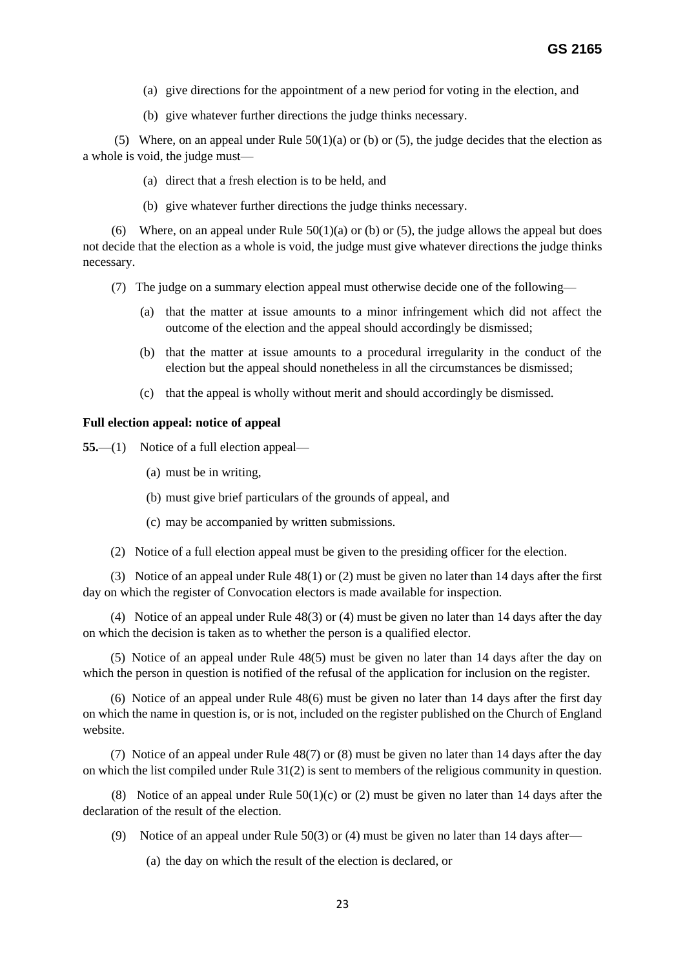- (a) give directions for the appointment of a new period for voting in the election, and
- (b) give whatever further directions the judge thinks necessary.

(5) Where, on an appeal under Rule  $50(1)(a)$  or (b) or (5), the judge decides that the election as a whole is void, the judge must—

- (a) direct that a fresh election is to be held, and
- (b) give whatever further directions the judge thinks necessary.

(6) Where, on an appeal under Rule  $50(1)(a)$  or (b) or (5), the judge allows the appeal but does not decide that the election as a whole is void, the judge must give whatever directions the judge thinks necessary.

- (7) The judge on a summary election appeal must otherwise decide one of the following—
	- (a) that the matter at issue amounts to a minor infringement which did not affect the outcome of the election and the appeal should accordingly be dismissed;
	- (b) that the matter at issue amounts to a procedural irregularity in the conduct of the election but the appeal should nonetheless in all the circumstances be dismissed;
	- (c) that the appeal is wholly without merit and should accordingly be dismissed.

# **Full election appeal: notice of appeal**

**55.**—(1) Notice of a full election appeal—

- (a) must be in writing,
- (b) must give brief particulars of the grounds of appeal, and
- (c) may be accompanied by written submissions.
- (2) Notice of a full election appeal must be given to the presiding officer for the election.

(3) Notice of an appeal under Rule 48(1) or (2) must be given no later than 14 days after the first day on which the register of Convocation electors is made available for inspection.

(4) Notice of an appeal under Rule 48(3) or (4) must be given no later than 14 days after the day on which the decision is taken as to whether the person is a qualified elector.

(5) Notice of an appeal under Rule 48(5) must be given no later than 14 days after the day on which the person in question is notified of the refusal of the application for inclusion on the register.

(6) Notice of an appeal under Rule 48(6) must be given no later than 14 days after the first day on which the name in question is, or is not, included on the register published on the Church of England website.

(7) Notice of an appeal under Rule 48(7) or (8) must be given no later than 14 days after the day on which the list compiled under Rule 31(2) is sent to members of the religious community in question.

(8) Notice of an appeal under Rule  $50(1)(c)$  or (2) must be given no later than 14 days after the declaration of the result of the election.

- (9) Notice of an appeal under Rule 50(3) or (4) must be given no later than 14 days after—
	- (a) the day on which the result of the election is declared, or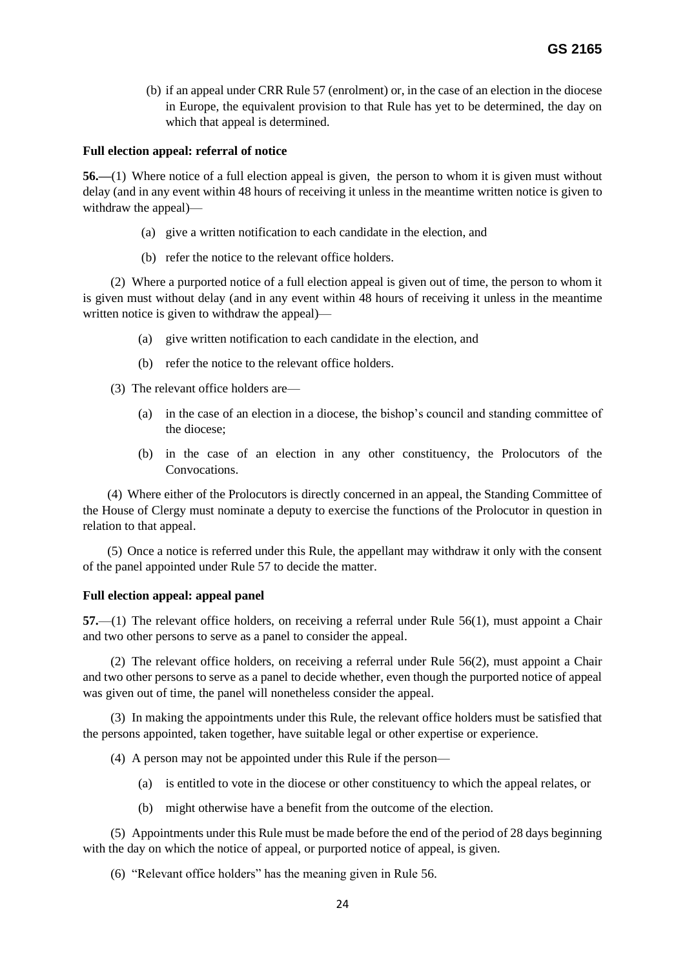(b) if an appeal under CRR Rule 57 (enrolment) or, in the case of an election in the diocese in Europe, the equivalent provision to that Rule has yet to be determined, the day on which that appeal is determined.

### **Full election appeal: referral of notice**

**56.—**(1) Where notice of a full election appeal is given, the person to whom it is given must without delay (and in any event within 48 hours of receiving it unless in the meantime written notice is given to withdraw the appeal)—

- (a) give a written notification to each candidate in the election, and
- (b) refer the notice to the relevant office holders.

(2) Where a purported notice of a full election appeal is given out of time, the person to whom it is given must without delay (and in any event within 48 hours of receiving it unless in the meantime written notice is given to withdraw the appeal)—

- (a) give written notification to each candidate in the election, and
- (b) refer the notice to the relevant office holders.
- (3) The relevant office holders are—
	- (a) in the case of an election in a diocese, the bishop's council and standing committee of the diocese;
	- (b) in the case of an election in any other constituency, the Prolocutors of the Convocations.

(4) Where either of the Prolocutors is directly concerned in an appeal, the Standing Committee of the House of Clergy must nominate a deputy to exercise the functions of the Prolocutor in question in relation to that appeal.

(5) Once a notice is referred under this Rule, the appellant may withdraw it only with the consent of the panel appointed under Rule 57 to decide the matter.

# **Full election appeal: appeal panel**

**57.**—(1) The relevant office holders, on receiving a referral under Rule 56(1), must appoint a Chair and two other persons to serve as a panel to consider the appeal.

(2) The relevant office holders, on receiving a referral under Rule 56(2), must appoint a Chair and two other persons to serve as a panel to decide whether, even though the purported notice of appeal was given out of time, the panel will nonetheless consider the appeal.

(3) In making the appointments under this Rule, the relevant office holders must be satisfied that the persons appointed, taken together, have suitable legal or other expertise or experience.

- (4) A person may not be appointed under this Rule if the person—
	- (a) is entitled to vote in the diocese or other constituency to which the appeal relates, or
	- (b) might otherwise have a benefit from the outcome of the election.

(5) Appointments under this Rule must be made before the end of the period of 28 days beginning with the day on which the notice of appeal, or purported notice of appeal, is given.

(6) "Relevant office holders" has the meaning given in Rule 56.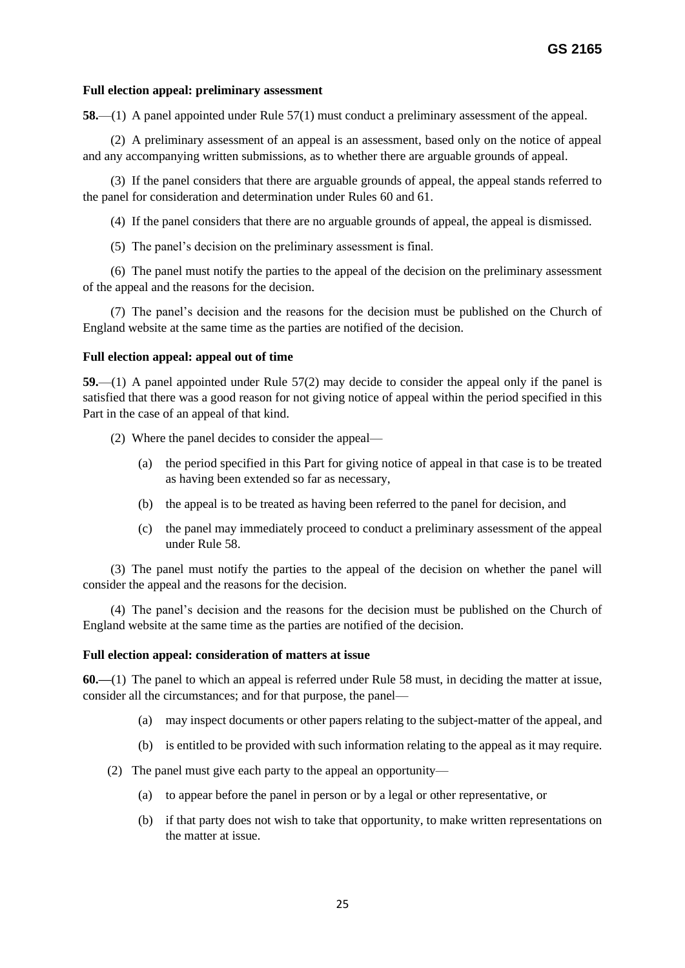### **Full election appeal: preliminary assessment**

**58.**—(1) A panel appointed under Rule 57(1) must conduct a preliminary assessment of the appeal.

(2) A preliminary assessment of an appeal is an assessment, based only on the notice of appeal and any accompanying written submissions, as to whether there are arguable grounds of appeal.

(3) If the panel considers that there are arguable grounds of appeal, the appeal stands referred to the panel for consideration and determination under Rules 60 and 61.

(4) If the panel considers that there are no arguable grounds of appeal, the appeal is dismissed.

(5) The panel's decision on the preliminary assessment is final.

(6) The panel must notify the parties to the appeal of the decision on the preliminary assessment of the appeal and the reasons for the decision.

(7) The panel's decision and the reasons for the decision must be published on the Church of England website at the same time as the parties are notified of the decision.

#### **Full election appeal: appeal out of time**

**59.**—(1) A panel appointed under Rule 57(2) may decide to consider the appeal only if the panel is satisfied that there was a good reason for not giving notice of appeal within the period specified in this Part in the case of an appeal of that kind.

- (2) Where the panel decides to consider the appeal—
	- (a) the period specified in this Part for giving notice of appeal in that case is to be treated as having been extended so far as necessary,
	- (b) the appeal is to be treated as having been referred to the panel for decision, and
	- (c) the panel may immediately proceed to conduct a preliminary assessment of the appeal under Rule 58.

(3) The panel must notify the parties to the appeal of the decision on whether the panel will consider the appeal and the reasons for the decision.

(4) The panel's decision and the reasons for the decision must be published on the Church of England website at the same time as the parties are notified of the decision.

#### **Full election appeal: consideration of matters at issue**

**60.—**(1) The panel to which an appeal is referred under Rule 58 must, in deciding the matter at issue, consider all the circumstances; and for that purpose, the panel—

- (a) may inspect documents or other papers relating to the subject-matter of the appeal, and
- (b) is entitled to be provided with such information relating to the appeal as it may require.
- (2) The panel must give each party to the appeal an opportunity—
	- (a) to appear before the panel in person or by a legal or other representative, or
	- (b) if that party does not wish to take that opportunity, to make written representations on the matter at issue.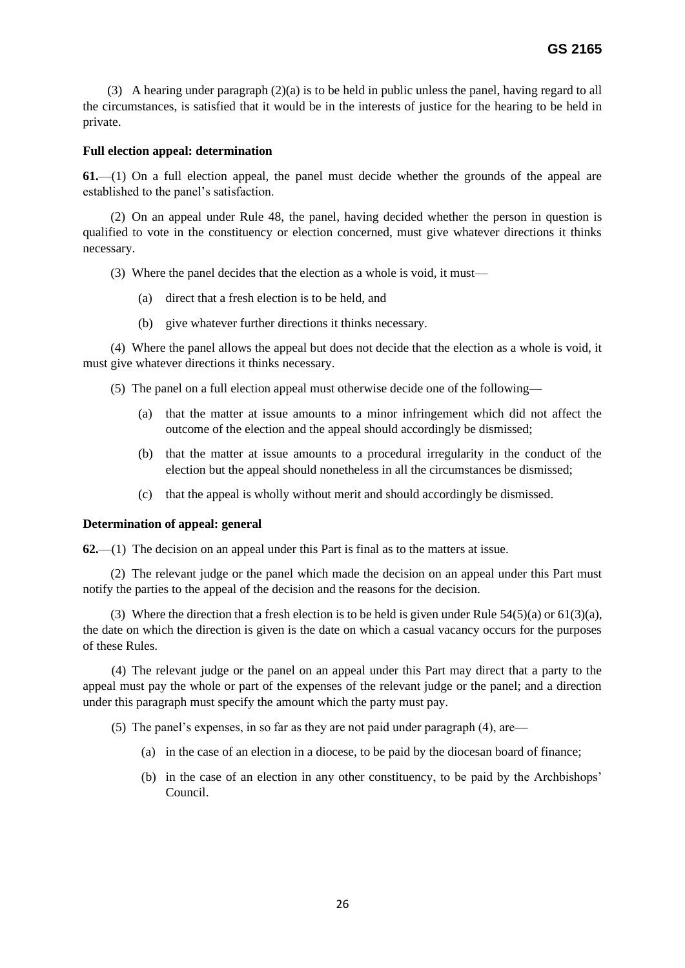(3) A hearing under paragraph (2)(a) is to be held in public unless the panel, having regard to all the circumstances, is satisfied that it would be in the interests of justice for the hearing to be held in private.

### **Full election appeal: determination**

**61.**—(1) On a full election appeal, the panel must decide whether the grounds of the appeal are established to the panel's satisfaction.

(2) On an appeal under Rule 48, the panel, having decided whether the person in question is qualified to vote in the constituency or election concerned, must give whatever directions it thinks necessary.

(3) Where the panel decides that the election as a whole is void, it must—

- (a) direct that a fresh election is to be held, and
- (b) give whatever further directions it thinks necessary.

(4) Where the panel allows the appeal but does not decide that the election as a whole is void, it must give whatever directions it thinks necessary.

(5) The panel on a full election appeal must otherwise decide one of the following—

- (a) that the matter at issue amounts to a minor infringement which did not affect the outcome of the election and the appeal should accordingly be dismissed;
- (b) that the matter at issue amounts to a procedural irregularity in the conduct of the election but the appeal should nonetheless in all the circumstances be dismissed;
- (c) that the appeal is wholly without merit and should accordingly be dismissed.

#### **Determination of appeal: general**

**62.**—(1) The decision on an appeal under this Part is final as to the matters at issue.

(2) The relevant judge or the panel which made the decision on an appeal under this Part must notify the parties to the appeal of the decision and the reasons for the decision.

(3) Where the direction that a fresh election is to be held is given under Rule  $54(5)(a)$  or  $61(3)(a)$ , the date on which the direction is given is the date on which a casual vacancy occurs for the purposes of these Rules.

 (4) The relevant judge or the panel on an appeal under this Part may direct that a party to the appeal must pay the whole or part of the expenses of the relevant judge or the panel; and a direction under this paragraph must specify the amount which the party must pay.

(5) The panel's expenses, in so far as they are not paid under paragraph (4), are—

- (a) in the case of an election in a diocese, to be paid by the diocesan board of finance;
- (b) in the case of an election in any other constituency, to be paid by the Archbishops' Council.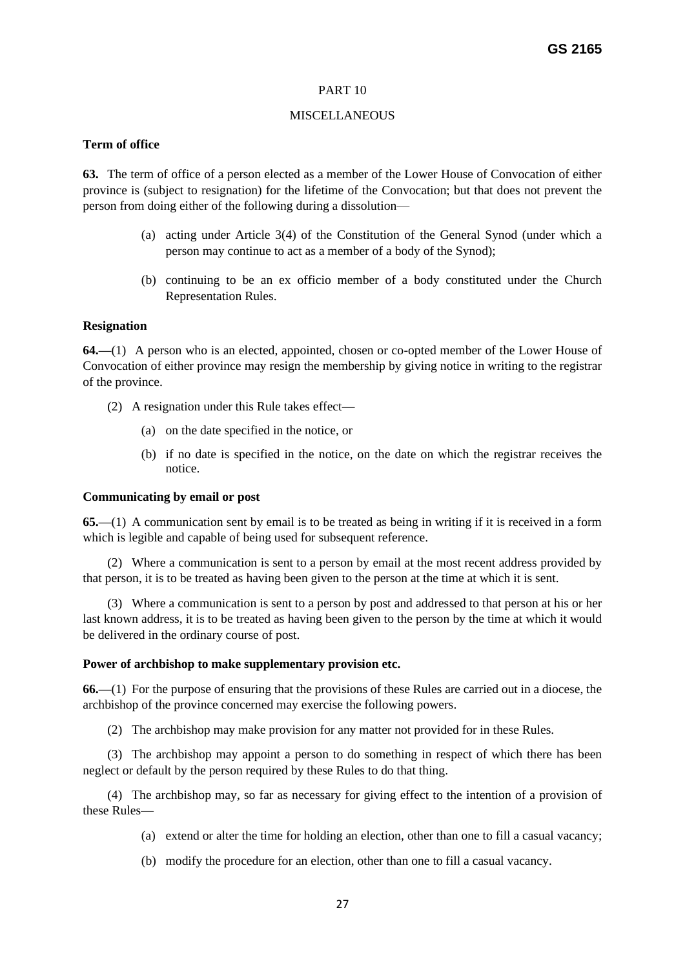# PART 10

# MISCELLANEOUS

# **Term of office**

**63.** The term of office of a person elected as a member of the Lower House of Convocation of either province is (subject to resignation) for the lifetime of the Convocation; but that does not prevent the person from doing either of the following during a dissolution—

- (a) acting under Article 3(4) of the Constitution of the General Synod (under which a person may continue to act as a member of a body of the Synod);
- (b) continuing to be an ex officio member of a body constituted under the Church Representation Rules.

# **Resignation**

**64.—**(1) A person who is an elected, appointed, chosen or co-opted member of the Lower House of Convocation of either province may resign the membership by giving notice in writing to the registrar of the province.

- (2) A resignation under this Rule takes effect—
	- (a) on the date specified in the notice, or
	- (b) if no date is specified in the notice, on the date on which the registrar receives the notice.

# **Communicating by email or post**

**65.—**(1) A communication sent by email is to be treated as being in writing if it is received in a form which is legible and capable of being used for subsequent reference.

(2) Where a communication is sent to a person by email at the most recent address provided by that person, it is to be treated as having been given to the person at the time at which it is sent.

(3) Where a communication is sent to a person by post and addressed to that person at his or her last known address, it is to be treated as having been given to the person by the time at which it would be delivered in the ordinary course of post.

# **Power of archbishop to make supplementary provision etc.**

**66.—**(1) For the purpose of ensuring that the provisions of these Rules are carried out in a diocese, the archbishop of the province concerned may exercise the following powers.

(2) The archbishop may make provision for any matter not provided for in these Rules.

(3) The archbishop may appoint a person to do something in respect of which there has been neglect or default by the person required by these Rules to do that thing.

(4) The archbishop may, so far as necessary for giving effect to the intention of a provision of these Rules—

- (a) extend or alter the time for holding an election, other than one to fill a casual vacancy;
- (b) modify the procedure for an election, other than one to fill a casual vacancy.